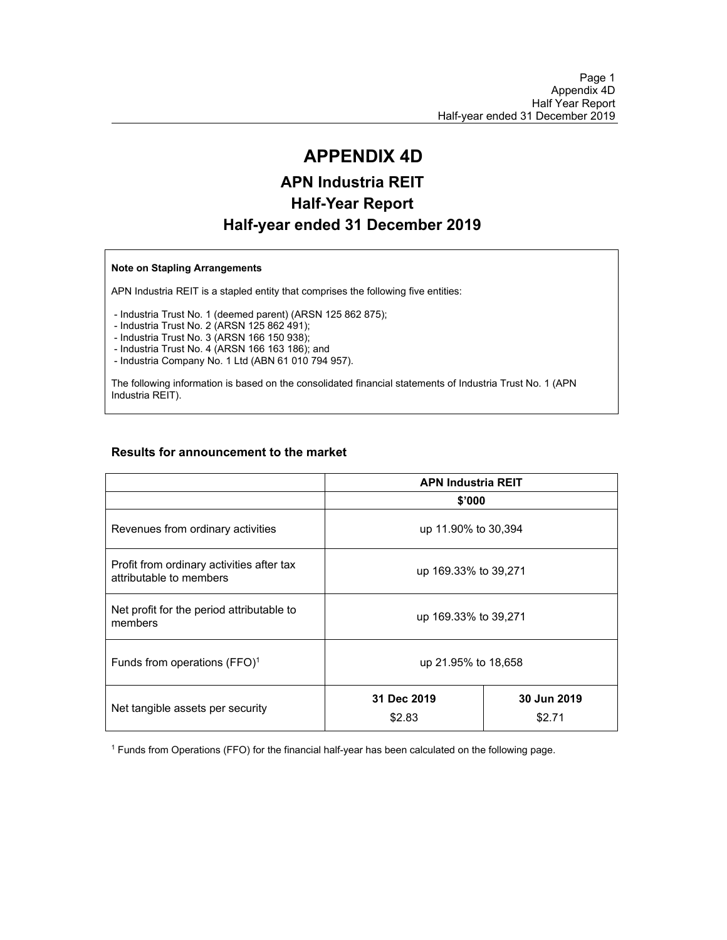# **APPENDIX 4D**

# **APN Industria REIT Half-Year Report Half-year ended 31 December 2019**

#### **Note on Stapling Arrangements**

APN Industria REIT is a stapled entity that comprises the following five entities:

- Industria Trust No. 1 (deemed parent) (ARSN 125 862 875);

- Industria Trust No. 2 (ARSN 125 862 491);

- Industria Trust No. 3 (ARSN 166 150 938);

- Industria Trust No. 4 (ARSN 166 163 186); and

- Industria Company No. 1 Ltd (ABN 61 010 794 957).

The following information is based on the consolidated financial statements of Industria Trust No. 1 (APN Industria REIT).

#### **Results for announcement to the market**

|                                                                      | <b>APN Industria REIT</b> |                       |  |  |
|----------------------------------------------------------------------|---------------------------|-----------------------|--|--|
|                                                                      | \$'000                    |                       |  |  |
| Revenues from ordinary activities                                    |                           | up 11.90% to 30,394   |  |  |
| Profit from ordinary activities after tax<br>attributable to members | up 169.33% to 39,271      |                       |  |  |
| Net profit for the period attributable to<br>members                 | up 169.33% to 39,271      |                       |  |  |
| Funds from operations (FFO) <sup>1</sup>                             | up 21.95% to 18,658       |                       |  |  |
| Net tangible assets per security                                     | 31 Dec 2019<br>\$2.83     | 30 Jun 2019<br>\$2.71 |  |  |

<sup>1</sup> Funds from Operations (FFO) for the financial half-year has been calculated on the following page.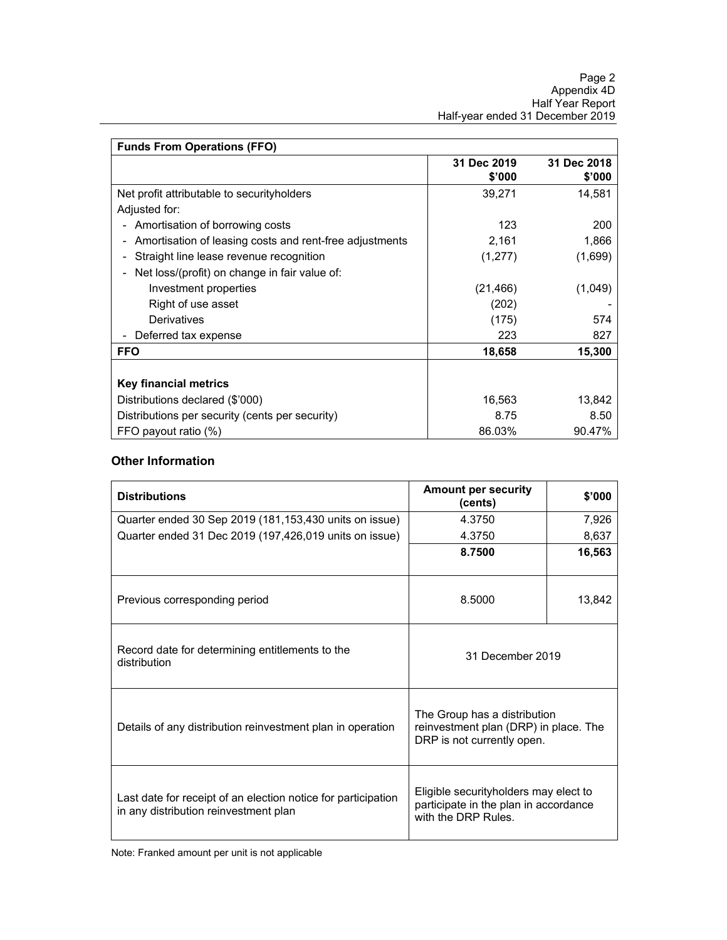| <b>Funds From Operations (FFO)</b>                              |                       |                       |
|-----------------------------------------------------------------|-----------------------|-----------------------|
|                                                                 | 31 Dec 2019<br>\$'000 | 31 Dec 2018<br>\$'000 |
| Net profit attributable to securityholders                      | 39.271                | 14.581                |
| Adjusted for:                                                   |                       |                       |
| Amortisation of borrowing costs<br>$\qquad \qquad \blacksquare$ | 123                   | 200                   |
| Amortisation of leasing costs and rent-free adjustments         | 2,161                 | 1,866                 |
| Straight line lease revenue recognition                         | (1,277)               | (1,699)               |
| Net loss/(profit) on change in fair value of:                   |                       |                       |
| Investment properties                                           | (21, 466)             | (1,049)               |
| Right of use asset                                              | (202)                 |                       |
| Derivatives                                                     | (175)                 | 574                   |
| Deferred tax expense                                            | 223                   | 827                   |
| <b>FFO</b>                                                      | 18,658                | 15,300                |
|                                                                 |                       |                       |
| Key financial metrics                                           |                       |                       |
| Distributions declared (\$'000)                                 | 16,563                | 13,842                |
| Distributions per security (cents per security)                 | 8.75                  | 8.50                  |
| FFO payout ratio (%)                                            | 86.03%                | 90.47%                |

#### **Other Information**

| <b>Distributions</b>                                                                                   | <b>Amount per security</b><br>(cents)                                                                 | \$'000 |
|--------------------------------------------------------------------------------------------------------|-------------------------------------------------------------------------------------------------------|--------|
| Quarter ended 30 Sep 2019 (181,153,430 units on issue)                                                 | 4.3750                                                                                                | 7,926  |
| Quarter ended 31 Dec 2019 (197,426,019 units on issue)                                                 | 4.3750                                                                                                | 8,637  |
|                                                                                                        | 8.7500                                                                                                | 16,563 |
| Previous corresponding period                                                                          | 8.5000                                                                                                | 13,842 |
| Record date for determining entitlements to the<br>distribution                                        | 31 December 2019                                                                                      |        |
| Details of any distribution reinvestment plan in operation                                             | The Group has a distribution<br>reinvestment plan (DRP) in place. The<br>DRP is not currently open.   |        |
| Last date for receipt of an election notice for participation<br>in any distribution reinvestment plan | Eligible securityholders may elect to<br>participate in the plan in accordance<br>with the DRP Rules. |        |

Note: Franked amount per unit is not applicable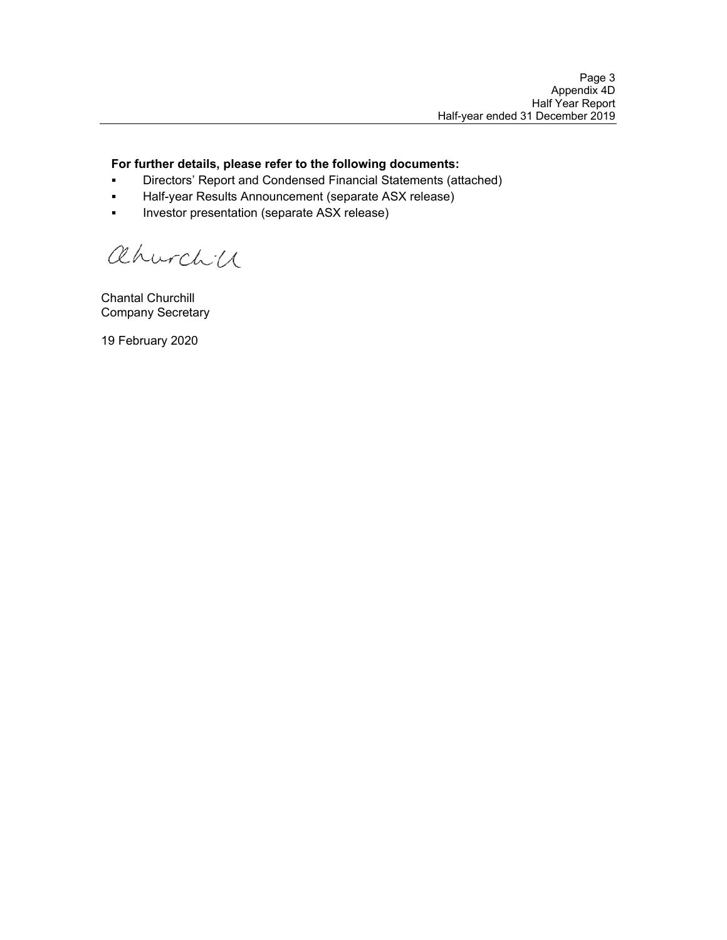#### **For further details, please refer to the following documents:**

- **Directors' Report and Condensed Financial Statements (attached)**
- Half-year Results Announcement (separate ASX release)
- **Investor presentation (separate ASX release)**

ahurchic

Chantal Churchill Company Secretary

19 February 2020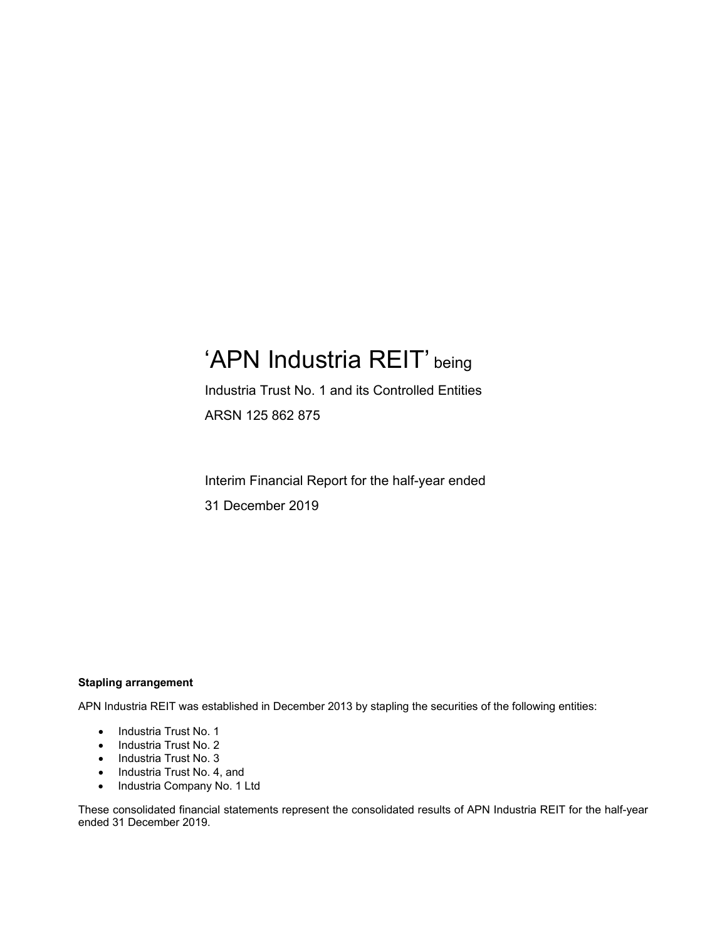# 'APN Industria REIT' being

Industria Trust No. 1 and its Controlled Entities ARSN 125 862 875

Interim Financial Report for the half-year ended 31 December 2019

#### **Stapling arrangement**

APN Industria REIT was established in December 2013 by stapling the securities of the following entities:

- Industria Trust No. 1
- Industria Trust No. 2
- Industria Trust No. 3
- Industria Trust No. 4, and
- Industria Company No. 1 Ltd

These consolidated financial statements represent the consolidated results of APN Industria REIT for the half-year ended 31 December 2019.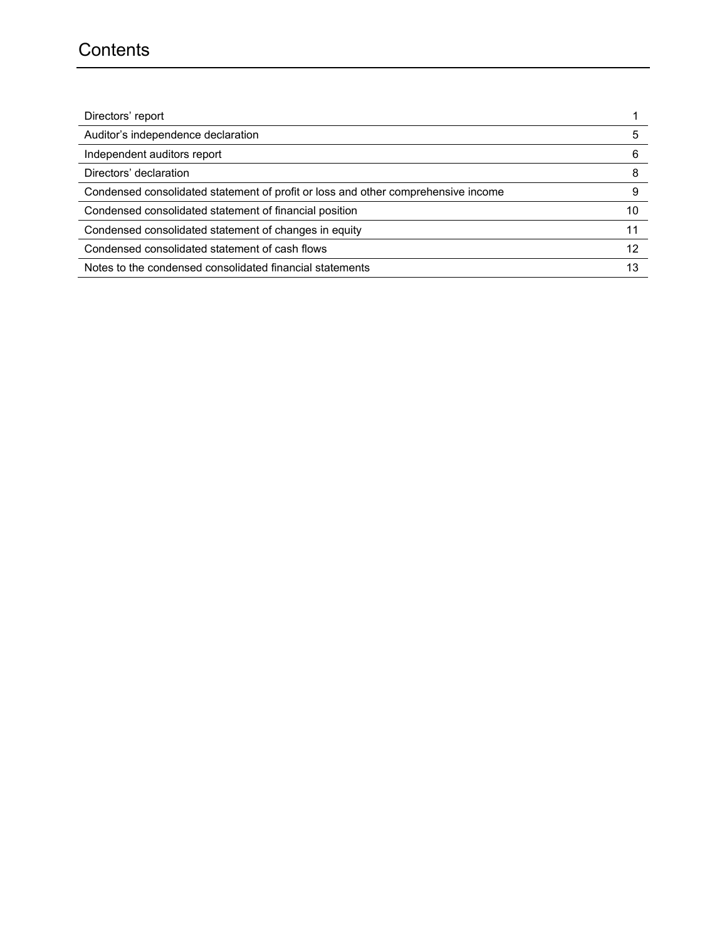# **Contents**

| Directors' report                                                                 |    |
|-----------------------------------------------------------------------------------|----|
| Auditor's independence declaration                                                | 5  |
| Independent auditors report                                                       | 6  |
| Directors' declaration                                                            | 8  |
| Condensed consolidated statement of profit or loss and other comprehensive income | 9  |
| Condensed consolidated statement of financial position                            | 10 |
| Condensed consolidated statement of changes in equity                             | 11 |
| Condensed consolidated statement of cash flows                                    | 12 |
| Notes to the condensed consolidated financial statements                          | 13 |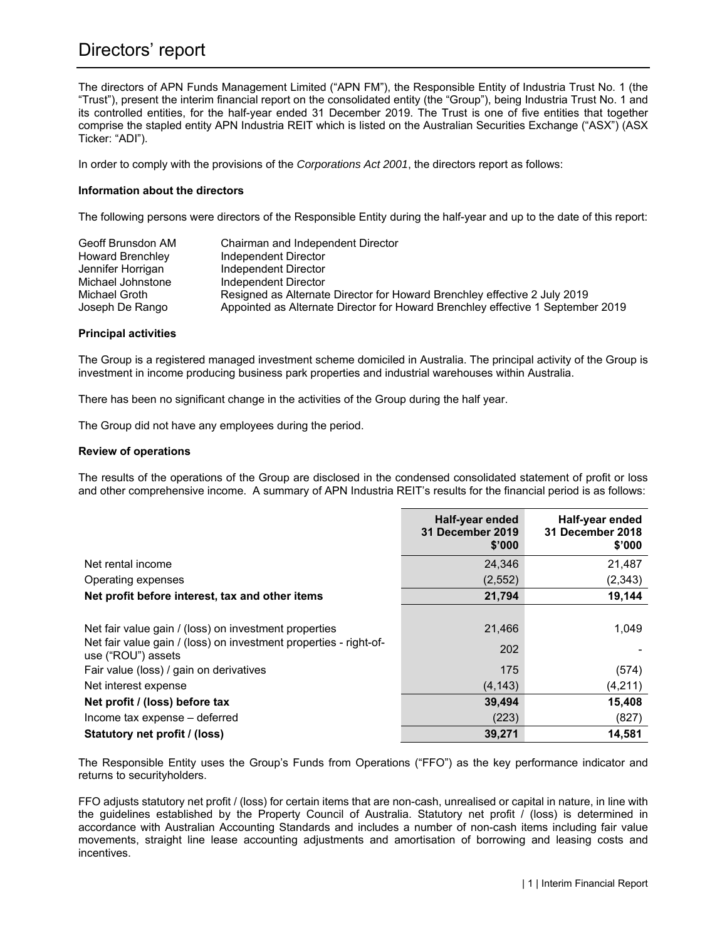# Directors' report

The directors of APN Funds Management Limited ("APN FM"), the Responsible Entity of Industria Trust No. 1 (the "Trust"), present the interim financial report on the consolidated entity (the "Group"), being Industria Trust No. 1 and its controlled entities, for the half-year ended 31 December 2019. The Trust is one of five entities that together comprise the stapled entity APN Industria REIT which is listed on the Australian Securities Exchange ("ASX") (ASX Ticker: "ADI").

In order to comply with the provisions of the *Corporations Act 2001*, the directors report as follows:

#### **Information about the directors**

The following persons were directors of the Responsible Entity during the half-year and up to the date of this report:

| Geoff Brunsdon AM<br><b>Howard Brenchley</b> | Chairman and Independent Director<br>Independent Director                       |
|----------------------------------------------|---------------------------------------------------------------------------------|
| Jennifer Horrigan                            | Independent Director                                                            |
| Michael Johnstone                            | Independent Director                                                            |
| Michael Groth                                | Resigned as Alternate Director for Howard Brenchley effective 2 July 2019       |
| Joseph De Rango                              | Appointed as Alternate Director for Howard Brenchley effective 1 September 2019 |

#### **Principal activities**

The Group is a registered managed investment scheme domiciled in Australia. The principal activity of the Group is investment in income producing business park properties and industrial warehouses within Australia.

There has been no significant change in the activities of the Group during the half year.

The Group did not have any employees during the period.

#### **Review of operations**

The results of the operations of the Group are disclosed in the condensed consolidated statement of profit or loss and other comprehensive income. A summary of APN Industria REIT's results for the financial period is as follows:

|                                                                                         | Half-year ended<br><b>31 December 2019</b><br>\$'000 | Half-year ended<br><b>31 December 2018</b><br>\$'000 |
|-----------------------------------------------------------------------------------------|------------------------------------------------------|------------------------------------------------------|
| Net rental income                                                                       | 24,346                                               | 21,487                                               |
| Operating expenses                                                                      | (2, 552)                                             | (2, 343)                                             |
| Net profit before interest, tax and other items                                         | 21,794                                               | 19,144                                               |
|                                                                                         |                                                      |                                                      |
| Net fair value gain / (loss) on investment properties                                   | 21,466                                               | 1,049                                                |
| Net fair value gain / (loss) on investment properties - right-of-<br>use ("ROU") assets | 202                                                  |                                                      |
| Fair value (loss) / gain on derivatives                                                 | 175                                                  | (574)                                                |
| Net interest expense                                                                    | (4, 143)                                             | (4,211)                                              |
| Net profit / (loss) before tax                                                          | 39,494                                               | 15,408                                               |
| Income tax expense - deferred                                                           | (223)                                                | (827)                                                |
| Statutory net profit / (loss)                                                           | 39.271                                               | 14,581                                               |

The Responsible Entity uses the Group's Funds from Operations ("FFO") as the key performance indicator and returns to securityholders.

FFO adjusts statutory net profit / (loss) for certain items that are non-cash, unrealised or capital in nature, in line with the guidelines established by the Property Council of Australia. Statutory net profit / (loss) is determined in accordance with Australian Accounting Standards and includes a number of non-cash items including fair value movements, straight line lease accounting adjustments and amortisation of borrowing and leasing costs and incentives.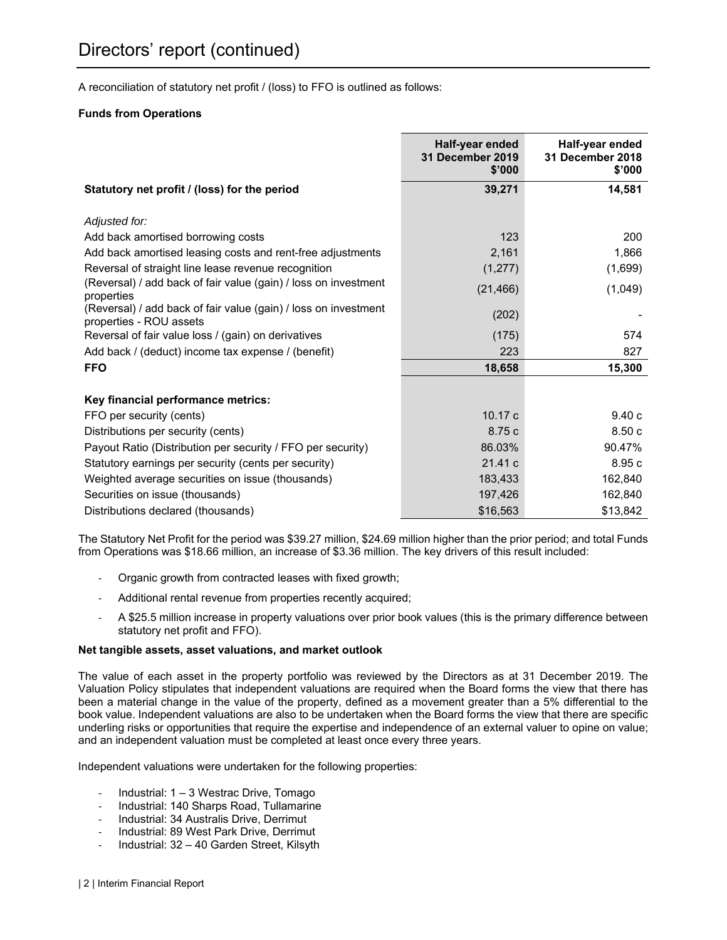A reconciliation of statutory net profit / (loss) to FFO is outlined as follows:

#### **Funds from Operations**

|                                                                                            | Half-year ended<br><b>31 December 2019</b><br>\$'000 | Half-year ended<br>31 December 2018<br>\$'000 |
|--------------------------------------------------------------------------------------------|------------------------------------------------------|-----------------------------------------------|
| Statutory net profit / (loss) for the period                                               | 39,271                                               | 14,581                                        |
| Adjusted for:                                                                              |                                                      |                                               |
| Add back amortised borrowing costs                                                         | 123                                                  | 200                                           |
| Add back amortised leasing costs and rent-free adjustments                                 | 2,161                                                | 1,866                                         |
| Reversal of straight line lease revenue recognition                                        | (1, 277)                                             | (1,699)                                       |
| (Reversal) / add back of fair value (gain) / loss on investment<br>properties              | (21, 466)                                            | (1,049)                                       |
| (Reversal) / add back of fair value (gain) / loss on investment<br>properties - ROU assets | (202)                                                |                                               |
| Reversal of fair value loss / (gain) on derivatives                                        | (175)                                                | 574                                           |
| Add back / (deduct) income tax expense / (benefit)                                         | 223                                                  | 827                                           |
| <b>FFO</b>                                                                                 | 18,658                                               | 15,300                                        |
| Key financial performance metrics:                                                         |                                                      |                                               |
| FFO per security (cents)                                                                   | 10.17c                                               | 9.40c                                         |
| Distributions per security (cents)                                                         | 8.75 c                                               | 8.50c                                         |
| Payout Ratio (Distribution per security / FFO per security)                                | 86.03%                                               | 90.47%                                        |
| Statutory earnings per security (cents per security)                                       | 21.41 c                                              | 8.95 c                                        |
| Weighted average securities on issue (thousands)                                           | 183,433                                              | 162,840                                       |
| Securities on issue (thousands)                                                            | 197,426                                              | 162,840                                       |
| Distributions declared (thousands)                                                         | \$16,563                                             | \$13,842                                      |

The Statutory Net Profit for the period was \$39.27 million, \$24.69 million higher than the prior period; and total Funds from Operations was \$18.66 million, an increase of \$3.36 million. The key drivers of this result included:

- ‐ Organic growth from contracted leases with fixed growth;
- ‐ Additional rental revenue from properties recently acquired;
- ‐ A \$25.5 million increase in property valuations over prior book values (this is the primary difference between statutory net profit and FFO).

#### **Net tangible assets, asset valuations, and market outlook**

The value of each asset in the property portfolio was reviewed by the Directors as at 31 December 2019. The Valuation Policy stipulates that independent valuations are required when the Board forms the view that there has been a material change in the value of the property, defined as a movement greater than a 5% differential to the book value. Independent valuations are also to be undertaken when the Board forms the view that there are specific underling risks or opportunities that require the expertise and independence of an external valuer to opine on value; and an independent valuation must be completed at least once every three years.

Independent valuations were undertaken for the following properties:

- ‐ Industrial: 1 3 Westrac Drive, Tomago
- ‐ Industrial: 140 Sharps Road, Tullamarine
- Industrial: 34 Australis Drive, Derrimut
- ‐ Industrial: 89 West Park Drive, Derrimut
- ‐ Industrial: 32 40 Garden Street, Kilsyth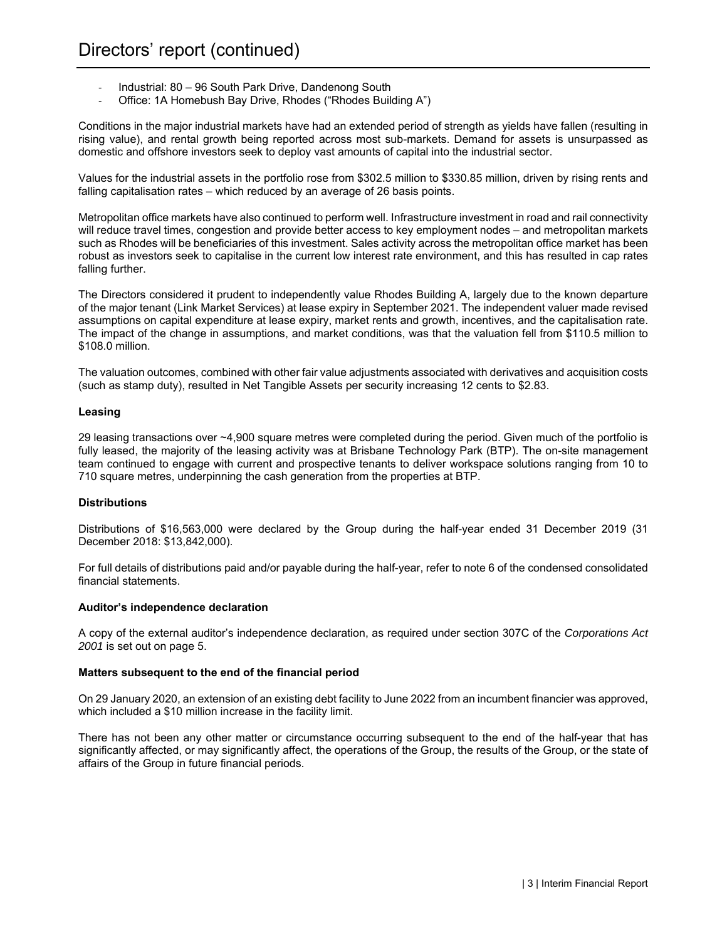- ‐ Industrial: 80 96 South Park Drive, Dandenong South
- ‐ Office: 1A Homebush Bay Drive, Rhodes ("Rhodes Building A")

Conditions in the major industrial markets have had an extended period of strength as yields have fallen (resulting in rising value), and rental growth being reported across most sub-markets. Demand for assets is unsurpassed as domestic and offshore investors seek to deploy vast amounts of capital into the industrial sector.

Values for the industrial assets in the portfolio rose from \$302.5 million to \$330.85 million, driven by rising rents and falling capitalisation rates – which reduced by an average of 26 basis points.

Metropolitan office markets have also continued to perform well. Infrastructure investment in road and rail connectivity will reduce travel times, congestion and provide better access to key employment nodes – and metropolitan markets such as Rhodes will be beneficiaries of this investment. Sales activity across the metropolitan office market has been robust as investors seek to capitalise in the current low interest rate environment, and this has resulted in cap rates falling further.

The Directors considered it prudent to independently value Rhodes Building A, largely due to the known departure of the major tenant (Link Market Services) at lease expiry in September 2021. The independent valuer made revised assumptions on capital expenditure at lease expiry, market rents and growth, incentives, and the capitalisation rate. The impact of the change in assumptions, and market conditions, was that the valuation fell from \$110.5 million to \$108.0 million.

The valuation outcomes, combined with other fair value adjustments associated with derivatives and acquisition costs (such as stamp duty), resulted in Net Tangible Assets per security increasing 12 cents to \$2.83.

#### **Leasing**

29 leasing transactions over ~4,900 square metres were completed during the period. Given much of the portfolio is fully leased, the majority of the leasing activity was at Brisbane Technology Park (BTP). The on-site management team continued to engage with current and prospective tenants to deliver workspace solutions ranging from 10 to 710 square metres, underpinning the cash generation from the properties at BTP.

#### **Distributions**

Distributions of \$16,563,000 were declared by the Group during the half-year ended 31 December 2019 (31 December 2018: \$13,842,000).

For full details of distributions paid and/or payable during the half-year, refer to note 6 of the condensed consolidated financial statements.

#### **Auditor's independence declaration**

A copy of the external auditor's independence declaration, as required under section 307C of the *Corporations Act 2001* is set out on page 5.

#### **Matters subsequent to the end of the financial period**

On 29 January 2020, an extension of an existing debt facility to June 2022 from an incumbent financier was approved, which included a \$10 million increase in the facility limit.

There has not been any other matter or circumstance occurring subsequent to the end of the half-year that has significantly affected, or may significantly affect, the operations of the Group, the results of the Group, or the state of affairs of the Group in future financial periods.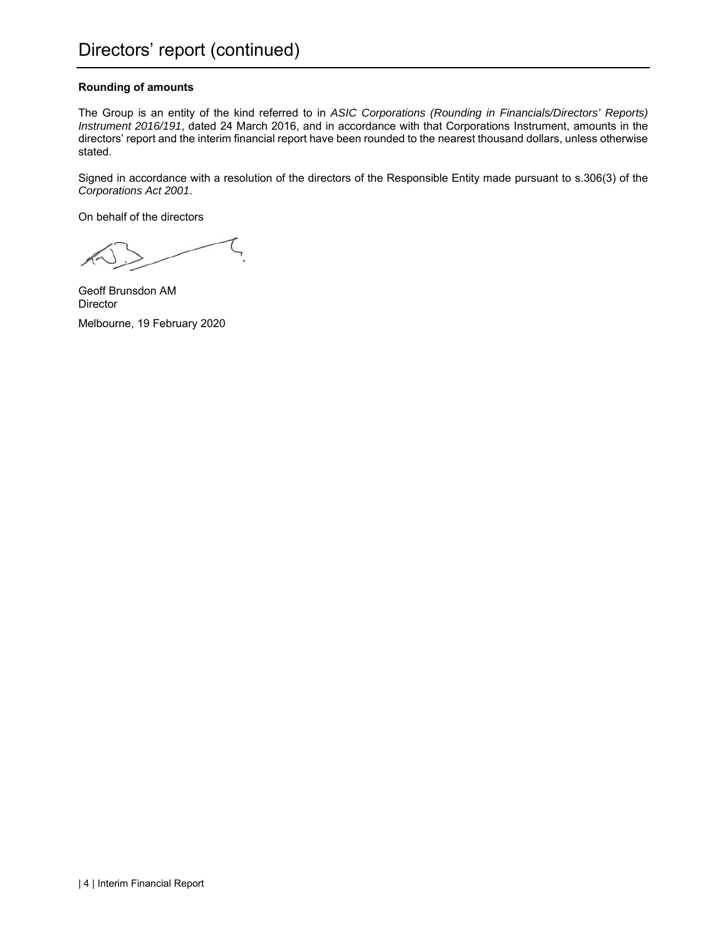#### **Rounding of amounts**

The Group is an entity of the kind referred to in *ASIC Corporations (Rounding in Financials/Directors' Reports) Instrument 2016/191*, dated 24 March 2016, and in accordance with that Corporations Instrument, amounts in the directors' report and the interim financial report have been rounded to the nearest thousand dollars, unless otherwise stated.

Signed in accordance with a resolution of the directors of the Responsible Entity made pursuant to s.306(3) of the *Corporations Act 2001*.

On behalf of the directors

Geoff Brunsdon AM **Director** Melbourne, 19 February 2020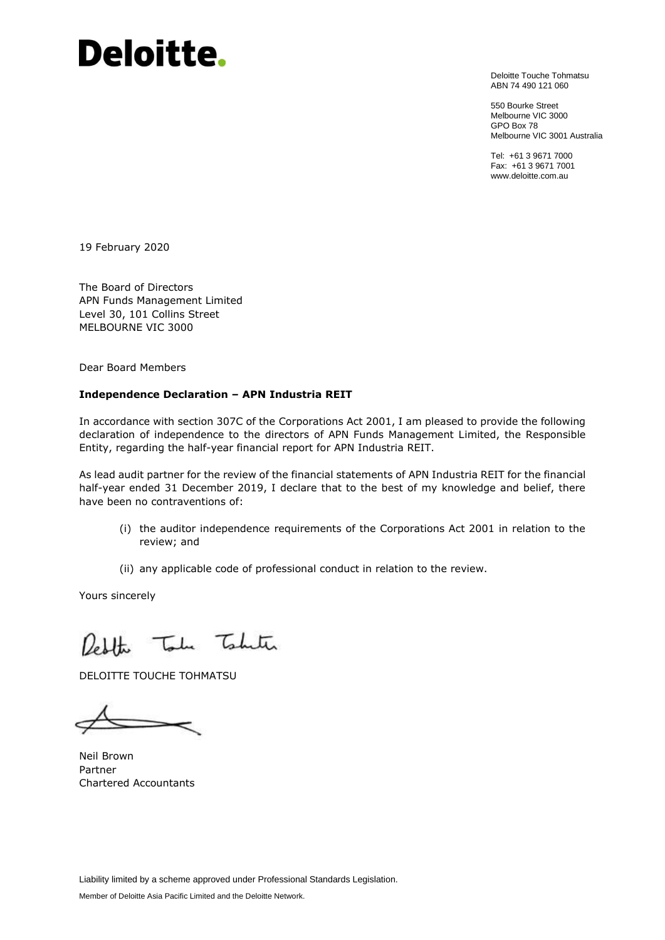# **Deloitte.**

Deloitte Touche Tohmatsu ABN 74 490 121 060

550 Bourke Street Melbourne VIC 3000 GPO Box 78 Melbourne VIC 3001 Australia

Tel: +61 3 9671 7000 Fax: +61 3 9671 7001 www.deloitte.com.au

19 February 2020

The Board of Directors APN Funds Management Limited Level 30, 101 Collins Street MELBOURNE VIC 3000

Dear Board Members

#### **Independence Declaration – APN Industria REIT**

In accordance with section 307C of the Corporations Act 2001, I am pleased to provide the following declaration of independence to the directors of APN Funds Management Limited, the Responsible Entity, regarding the half-year financial report for APN Industria REIT.

As lead audit partner for the review of the financial statements of APN Industria REIT for the financial half-year ended 31 December 2019, I declare that to the best of my knowledge and belief, there have been no contraventions of:

- (i) the auditor independence requirements of the Corporations Act 2001 in relation to the review; and
- (ii) any applicable code of professional conduct in relation to the review.

Yours sincerely

Redthe Take Taketa

DELOITTE TOUCHE TOHMATSU

Neil Brown Partner Chartered Accountants

Liability limited by a scheme approved under Professional Standards Legislation. Member of Deloitte Asia Pacific Limited and the Deloitte Network.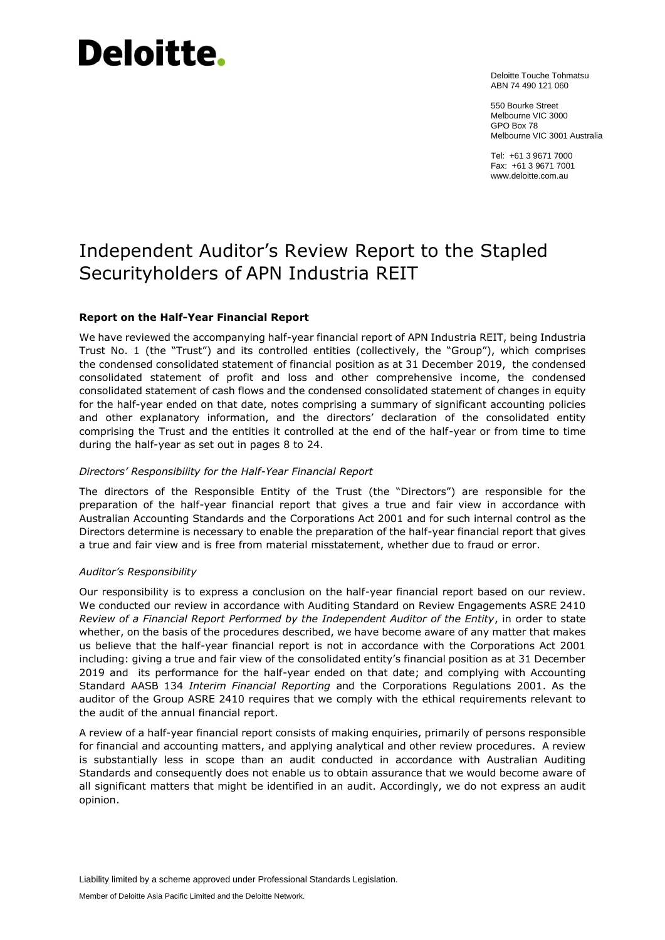# Deloitte.

Deloitte Touche Tohmatsu ABN 74 490 121 060

550 Bourke Street Melbourne VIC 3000 GPO Box 78 Melbourne VIC 3001 Australia

Tel: +61 3 9671 7000 Fax: +61 3 9671 7001 www.deloitte.com.au

# Independent Auditor's Review Report to the Stapled Securityholders of APN Industria REIT

#### **Report on the Half-Year Financial Report**

We have reviewed the accompanying half-year financial report of APN Industria REIT, being Industria Trust No. 1 (the "Trust") and its controlled entities (collectively, the "Group"), which comprises the condensed consolidated statement of financial position as at 31 December 2019, the condensed consolidated statement of profit and loss and other comprehensive income, the condensed consolidated statement of cash flows and the condensed consolidated statement of changes in equity for the half-year ended on that date, notes comprising a summary of significant accounting policies and other explanatory information, and the directors' declaration of the consolidated entity comprising the Trust and the entities it controlled at the end of the half-year or from time to time during the half-year as set out in pages 8 to 24.

#### *Directors' Responsibility for the Half-Year Financial Report*

The directors of the Responsible Entity of the Trust (the "Directors") are responsible for the preparation of the half-year financial report that gives a true and fair view in accordance with Australian Accounting Standards and the Corporations Act 2001 and for such internal control as the Directors determine is necessary to enable the preparation of the half-year financial report that gives a true and fair view and is free from material misstatement, whether due to fraud or error.

#### *Auditor's Responsibility*

Our responsibility is to express a conclusion on the half-year financial report based on our review. We conducted our review in accordance with Auditing Standard on Review Engagements ASRE 2410 *Review of a Financial Report Performed by the Independent Auditor of the Entity*, in order to state whether, on the basis of the procedures described, we have become aware of any matter that makes us believe that the half-year financial report is not in accordance with the Corporations Act 2001 including: giving a true and fair view of the consolidated entity's financial position as at 31 December 2019 and its performance for the half-year ended on that date; and complying with Accounting Standard AASB 134 *Interim Financial Reporting* and the Corporations Regulations 2001. As the auditor of the Group ASRE 2410 requires that we comply with the ethical requirements relevant to the audit of the annual financial report.

A review of a half-year financial report consists of making enquiries, primarily of persons responsible for financial and accounting matters, and applying analytical and other review procedures. A review is substantially less in scope than an audit conducted in accordance with Australian Auditing Standards and consequently does not enable us to obtain assurance that we would become aware of all significant matters that might be identified in an audit. Accordingly, we do not express an audit opinion.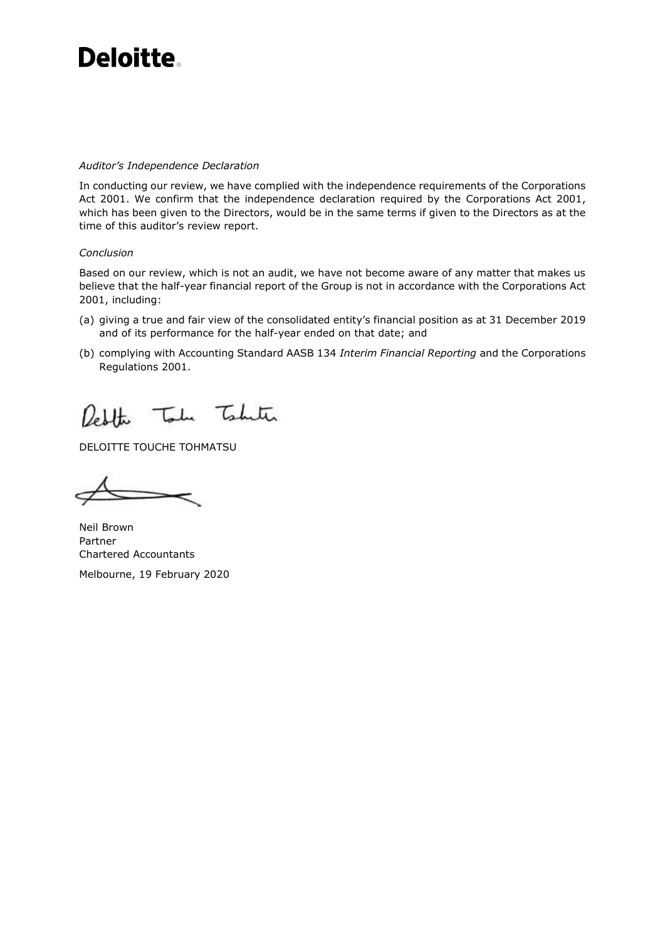# Deloitte.

#### *Auditor's Independence Declaration*

In conducting our review, we have complied with the independence requirements of the Corporations Act 2001. We confirm that the independence declaration required by the Corporations Act 2001, which has been given to the Directors, would be in the same terms if given to the Directors as at the time of this auditor's review report.

#### *Conclusion*

Based on our review, which is not an audit, we have not become aware of any matter that makes us believe that the half-year financial report of the Group is not in accordance with the Corporations Act 2001, including:

- (a) giving a true and fair view of the consolidated entity's financial position as at 31 December 2019 and of its performance for the half-year ended on that date; and
- (b) complying with Accounting Standard AASB 134 *Interim Financial Reporting* and the Corporations Regulations 2001.

Reblate Toda Tobute

DELOITTE TOUCHE TOHMATSU

Neil Brown Partner Chartered Accountants Melbourne, 19 February 2020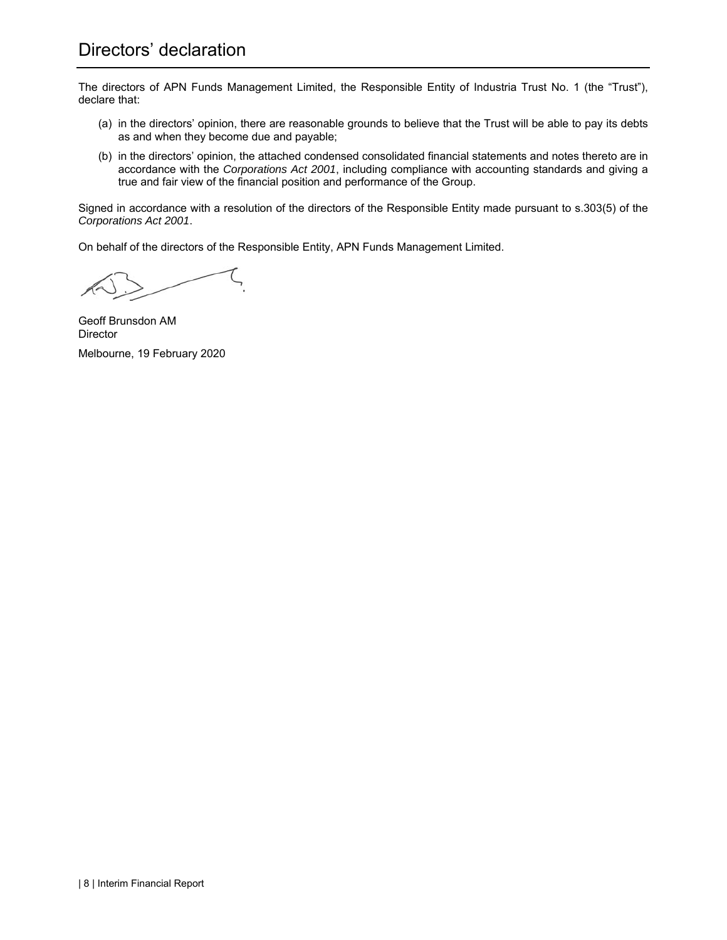# Directors' declaration

The directors of APN Funds Management Limited, the Responsible Entity of Industria Trust No. 1 (the "Trust"), declare that:

- (a) in the directors' opinion, there are reasonable grounds to believe that the Trust will be able to pay its debts as and when they become due and payable;
- (b) in the directors' opinion, the attached condensed consolidated financial statements and notes thereto are in accordance with the *Corporations Act 2001*, including compliance with accounting standards and giving a true and fair view of the financial position and performance of the Group.

Signed in accordance with a resolution of the directors of the Responsible Entity made pursuant to s.303(5) of the *Corporations Act 2001*.

On behalf of the directors of the Responsible Entity, APN Funds Management Limited.

Geoff Brunsdon AM Director Melbourne, 19 February 2020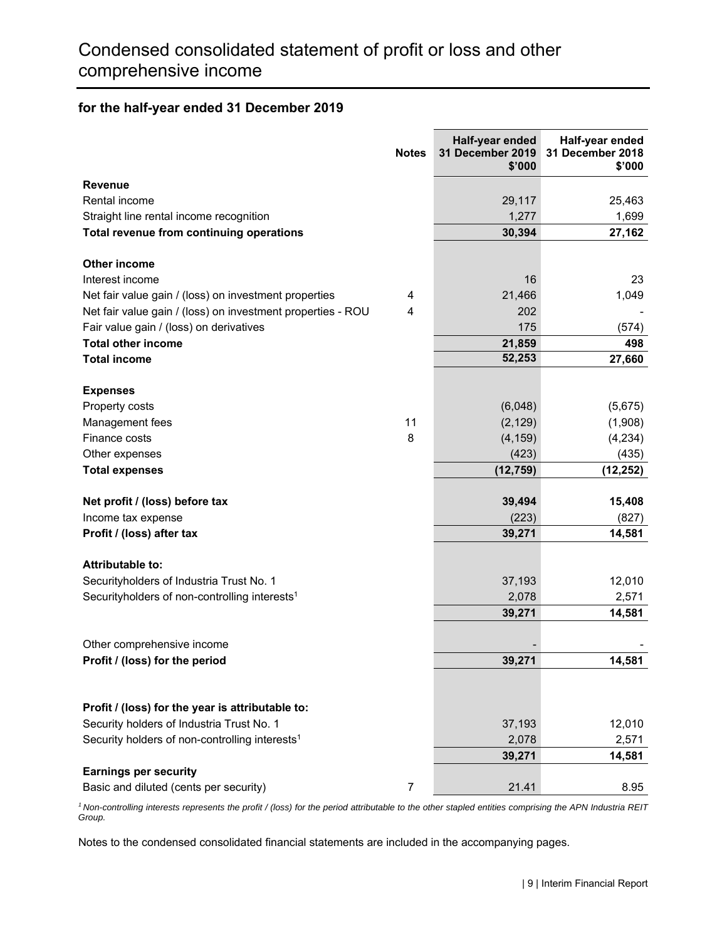#### **for the half-year ended 31 December 2019**

|                                                             | <b>Notes</b>            | Half-year ended<br>31 December 2019<br>\$'000 | Half-year ended<br>31 December 2018<br>\$'000 |
|-------------------------------------------------------------|-------------------------|-----------------------------------------------|-----------------------------------------------|
| Revenue                                                     |                         |                                               |                                               |
| Rental income                                               |                         | 29,117                                        | 25,463                                        |
| Straight line rental income recognition                     |                         | 1,277                                         | 1,699                                         |
| Total revenue from continuing operations                    |                         | 30,394                                        | 27,162                                        |
| Other income                                                |                         |                                               |                                               |
| Interest income                                             |                         | 16                                            | 23                                            |
| Net fair value gain / (loss) on investment properties       | 4                       | 21,466                                        | 1,049                                         |
| Net fair value gain / (loss) on investment properties - ROU | $\overline{\mathbf{4}}$ | 202                                           |                                               |
| Fair value gain / (loss) on derivatives                     |                         | 175                                           | (574)                                         |
| <b>Total other income</b>                                   |                         | 21,859                                        | 498                                           |
| <b>Total income</b>                                         |                         | 52,253                                        | 27,660                                        |
| <b>Expenses</b>                                             |                         |                                               |                                               |
| Property costs                                              |                         | (6,048)                                       | (5,675)                                       |
| Management fees                                             | 11                      | (2, 129)                                      | (1,908)                                       |
| Finance costs                                               | 8                       | (4, 159)                                      | (4,234)                                       |
| Other expenses                                              |                         | (423)                                         | (435)                                         |
| <b>Total expenses</b>                                       |                         | (12, 759)                                     | (12, 252)                                     |
| Net profit / (loss) before tax                              |                         | 39,494                                        | 15,408                                        |
| Income tax expense                                          |                         | (223)                                         | (827)                                         |
| Profit / (loss) after tax                                   |                         | 39,271                                        | 14,581                                        |
| Attributable to:                                            |                         |                                               |                                               |
| Securityholders of Industria Trust No. 1                    |                         | 37,193                                        | 12,010                                        |
| Securityholders of non-controlling interests <sup>1</sup>   |                         | 2,078                                         | 2,571                                         |
|                                                             |                         | 39,271                                        | 14,581                                        |
| Other comprehensive income                                  |                         |                                               |                                               |
| Profit / (loss) for the period                              |                         | 39,271                                        | 14,581                                        |
|                                                             |                         |                                               |                                               |
| Profit / (loss) for the year is attributable to:            |                         |                                               |                                               |
| Security holders of Industria Trust No. 1                   |                         | 37,193                                        | 12,010                                        |
| Security holders of non-controlling interests <sup>1</sup>  |                         | 2,078                                         | 2,571                                         |
|                                                             |                         | 39,271                                        | 14,581                                        |
| <b>Earnings per security</b>                                |                         |                                               |                                               |
| Basic and diluted (cents per security)                      | 7                       | 21.41                                         | 8.95                                          |

*1 Non-controlling interests represents the profit / (loss) for the period attributable to the other stapled entities comprising the APN Industria REIT Group.*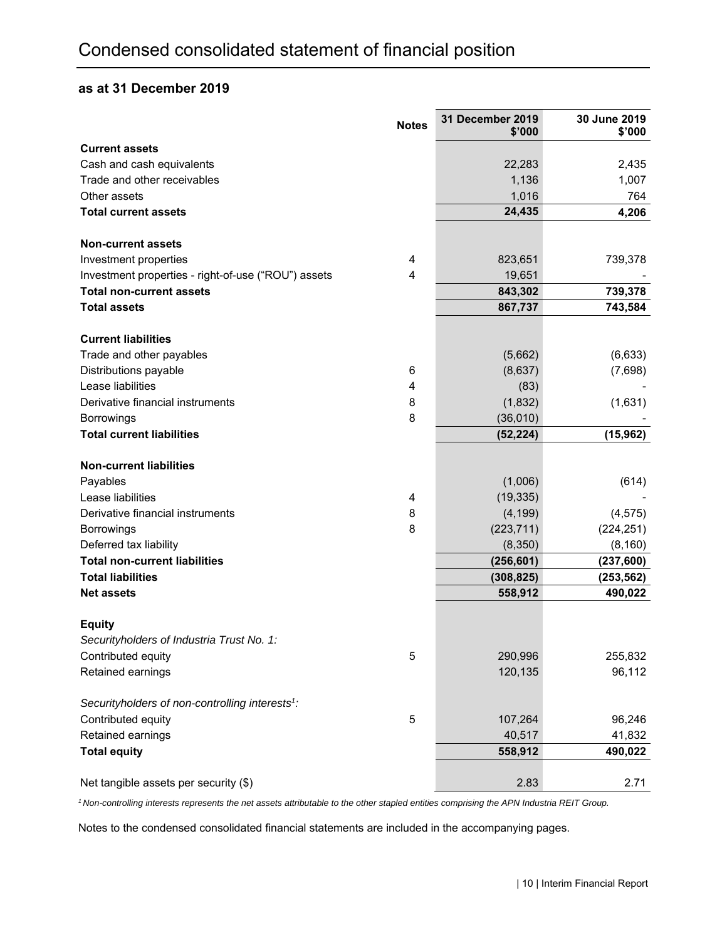#### **as at 31 December 2019**

|                                                             | <b>Notes</b>   | <b>31 December 2019</b><br>\$'000 | 30 June 2019<br>\$'000 |
|-------------------------------------------------------------|----------------|-----------------------------------|------------------------|
| <b>Current assets</b>                                       |                |                                   |                        |
| Cash and cash equivalents                                   |                | 22,283                            | 2,435                  |
| Trade and other receivables                                 |                | 1,136                             | 1,007                  |
| Other assets                                                |                | 1,016                             | 764                    |
| <b>Total current assets</b>                                 |                | 24,435                            | 4,206                  |
| <b>Non-current assets</b>                                   |                |                                   |                        |
| Investment properties                                       | 4              | 823,651                           | 739,378                |
| Investment properties - right-of-use ("ROU") assets         | $\overline{4}$ | 19,651                            |                        |
| <b>Total non-current assets</b>                             |                | 843,302                           | 739,378                |
| <b>Total assets</b>                                         |                | 867,737                           | 743,584                |
| <b>Current liabilities</b>                                  |                |                                   |                        |
| Trade and other payables                                    |                | (5,662)                           | (6,633)                |
| Distributions payable                                       | 6              | (8,637)                           | (7,698)                |
| Lease liabilities                                           | 4              | (83)                              |                        |
| Derivative financial instruments                            | 8              | (1,832)                           | (1,631)                |
| Borrowings                                                  | 8              | (36,010)                          |                        |
| <b>Total current liabilities</b>                            |                | (52, 224)                         | (15, 962)              |
| <b>Non-current liabilities</b>                              |                |                                   |                        |
| Payables                                                    |                | (1,006)                           | (614)                  |
| Lease liabilities                                           | 4              | (19, 335)                         |                        |
| Derivative financial instruments                            | 8              | (4, 199)                          | (4, 575)               |
| Borrowings                                                  | 8              | (223, 711)                        | (224, 251)             |
| Deferred tax liability                                      |                | (8,350)                           | (8, 160)               |
| <b>Total non-current liabilities</b>                        |                | (256, 601)                        | (237, 600)             |
| <b>Total liabilities</b>                                    |                | (308, 825)                        | (253, 562)             |
| <b>Net assets</b>                                           |                | 558,912                           | 490,022                |
| <b>Equity</b>                                               |                |                                   |                        |
| Securityholders of Industria Trust No. 1:                   |                |                                   |                        |
| Contributed equity                                          | 5              | 290,996                           | 255,832                |
| Retained earnings                                           |                | 120,135                           | 96,112                 |
| Securityholders of non-controlling interests <sup>1</sup> : |                |                                   |                        |
| Contributed equity                                          | 5              | 107,264                           | 96,246                 |
| Retained earnings                                           |                | 40,517                            | 41,832                 |
| <b>Total equity</b>                                         |                | 558,912                           | 490,022                |
| Net tangible assets per security (\$)                       |                | 2.83                              | 2.71                   |

*1 Non-controlling interests represents the net assets attributable to the other stapled entities comprising the APN Industria REIT Group.*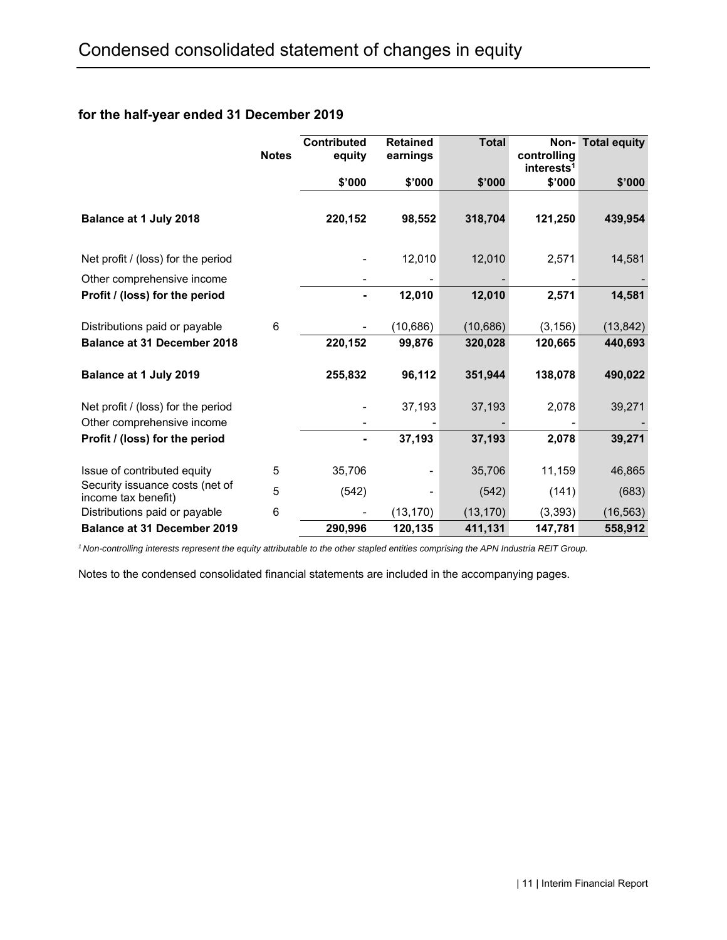### **for the half-year ended 31 December 2019**

|                                                        | <b>Notes</b> | <b>Contributed</b><br>equity | <b>Retained</b><br>earnings | <b>Total</b> | Non-<br>controlling<br>interests <sup>1</sup> | <b>Total equity</b> |
|--------------------------------------------------------|--------------|------------------------------|-----------------------------|--------------|-----------------------------------------------|---------------------|
|                                                        |              | \$'000                       | \$'000                      | \$'000       | \$'000                                        | \$'000              |
| Balance at 1 July 2018                                 |              | 220,152                      | 98,552                      | 318,704      | 121,250                                       | 439,954             |
| Net profit / (loss) for the period                     |              |                              | 12,010                      | 12,010       | 2,571                                         | 14,581              |
| Other comprehensive income                             |              |                              |                             |              |                                               |                     |
| Profit / (loss) for the period                         |              |                              | 12,010                      | 12,010       | 2,571                                         | 14,581              |
| Distributions paid or payable                          | 6            |                              | (10, 686)                   | (10, 686)    | (3, 156)                                      | (13, 842)           |
| <b>Balance at 31 December 2018</b>                     |              | 220,152                      | 99,876                      | 320,028      | 120,665                                       | 440,693             |
| Balance at 1 July 2019                                 |              | 255,832                      | 96,112                      | 351,944      | 138,078                                       | 490,022             |
| Net profit / (loss) for the period                     |              |                              | 37,193                      | 37,193       | 2,078                                         | 39,271              |
| Other comprehensive income                             |              |                              |                             |              |                                               |                     |
| Profit / (loss) for the period                         |              | ٠                            | 37,193                      | 37,193       | 2,078                                         | 39,271              |
| Issue of contributed equity                            | 5            | 35,706                       | -                           | 35,706       | 11,159                                        | 46,865              |
| Security issuance costs (net of<br>income tax benefit) | 5            | (542)                        |                             | (542)        | (141)                                         | (683)               |
| Distributions paid or payable                          | 6            |                              | (13, 170)                   | (13, 170)    | (3, 393)                                      | (16, 563)           |
| <b>Balance at 31 December 2019</b>                     |              | 290,996                      | 120,135                     | 411,131      | 147,781                                       | 558,912             |

*1 Non-controlling interests represent the equity attributable to the other stapled entities comprising the APN Industria REIT Group.*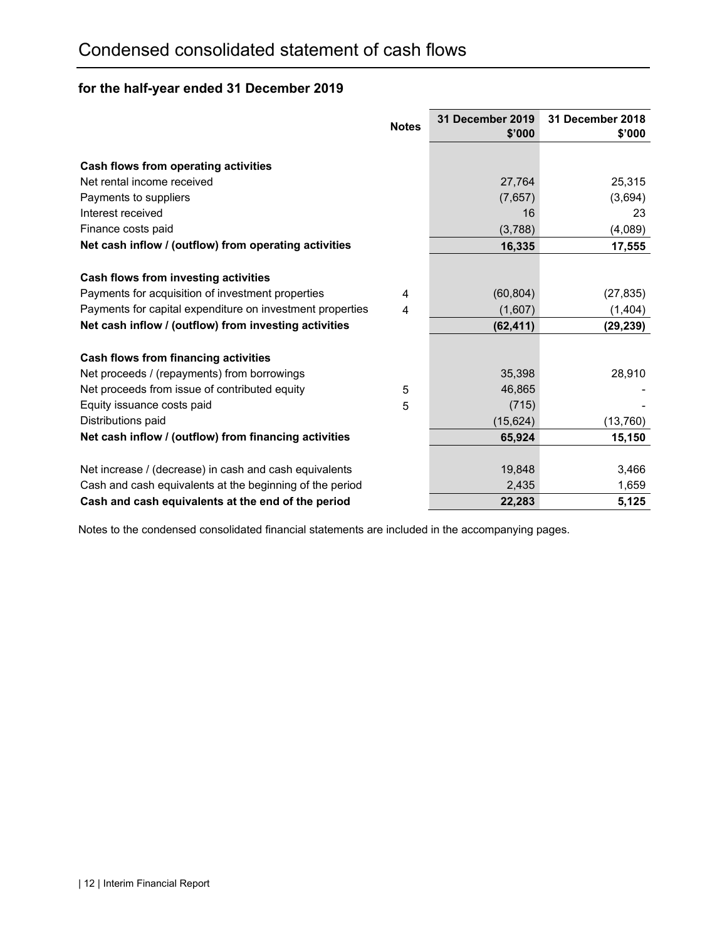# **for the half-year ended 31 December 2019**

|                                                           | <b>Notes</b> | <b>31 December 2019</b><br>\$'000 | 31 December 2018<br>\$'000 |
|-----------------------------------------------------------|--------------|-----------------------------------|----------------------------|
|                                                           |              |                                   |                            |
| Cash flows from operating activities                      |              |                                   |                            |
| Net rental income received                                |              | 27,764                            | 25,315                     |
| Payments to suppliers                                     |              | (7,657)                           | (3,694)                    |
| Interest received                                         |              | 16                                | 23                         |
| Finance costs paid                                        |              | (3,788)                           | (4,089)                    |
| Net cash inflow / (outflow) from operating activities     |              | 16,335                            | 17,555                     |
|                                                           |              |                                   |                            |
| Cash flows from investing activities                      |              |                                   |                            |
| Payments for acquisition of investment properties         | 4            | (60, 804)                         | (27, 835)                  |
| Payments for capital expenditure on investment properties | 4            | (1,607)                           | (1, 404)                   |
| Net cash inflow / (outflow) from investing activities     |              | (62, 411)                         | (29, 239)                  |
|                                                           |              |                                   |                            |
| Cash flows from financing activities                      |              |                                   |                            |
| Net proceeds / (repayments) from borrowings               |              | 35,398                            | 28,910                     |
| Net proceeds from issue of contributed equity             | 5            | 46,865                            |                            |
| Equity issuance costs paid                                | 5            | (715)                             |                            |
| Distributions paid                                        |              | (15, 624)                         | (13,760)                   |
| Net cash inflow / (outflow) from financing activities     |              | 65,924                            | 15,150                     |
|                                                           |              |                                   |                            |
| Net increase / (decrease) in cash and cash equivalents    |              | 19,848                            | 3,466                      |
| Cash and cash equivalents at the beginning of the period  |              | 2,435                             | 1,659                      |
| Cash and cash equivalents at the end of the period        |              | 22,283                            | 5,125                      |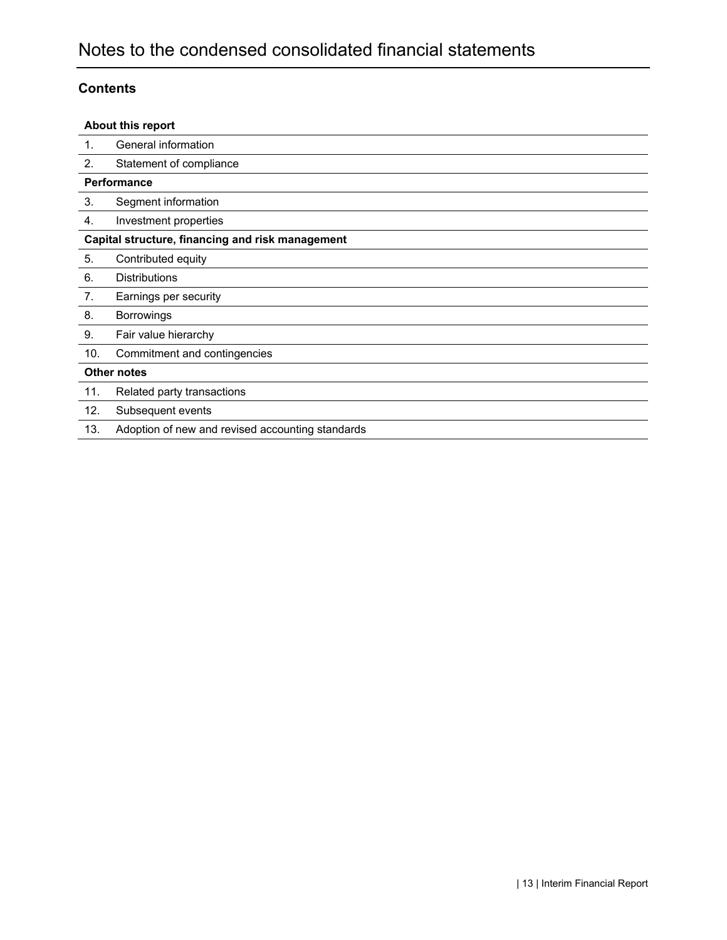### **Contents**

|     | About this report                                |
|-----|--------------------------------------------------|
| 1.  | General information                              |
| 2.  | Statement of compliance                          |
|     | <b>Performance</b>                               |
| 3.  | Segment information                              |
| 4.  | Investment properties                            |
|     | Capital structure, financing and risk management |
| 5.  | Contributed equity                               |
| 6.  | <b>Distributions</b>                             |
| 7.  | Earnings per security                            |
| 8.  | <b>Borrowings</b>                                |
| 9.  | Fair value hierarchy                             |
| 10. | Commitment and contingencies                     |
|     | <b>Other notes</b>                               |
| 11. | Related party transactions                       |
| 12. | Subsequent events                                |
| 13. | Adoption of new and revised accounting standards |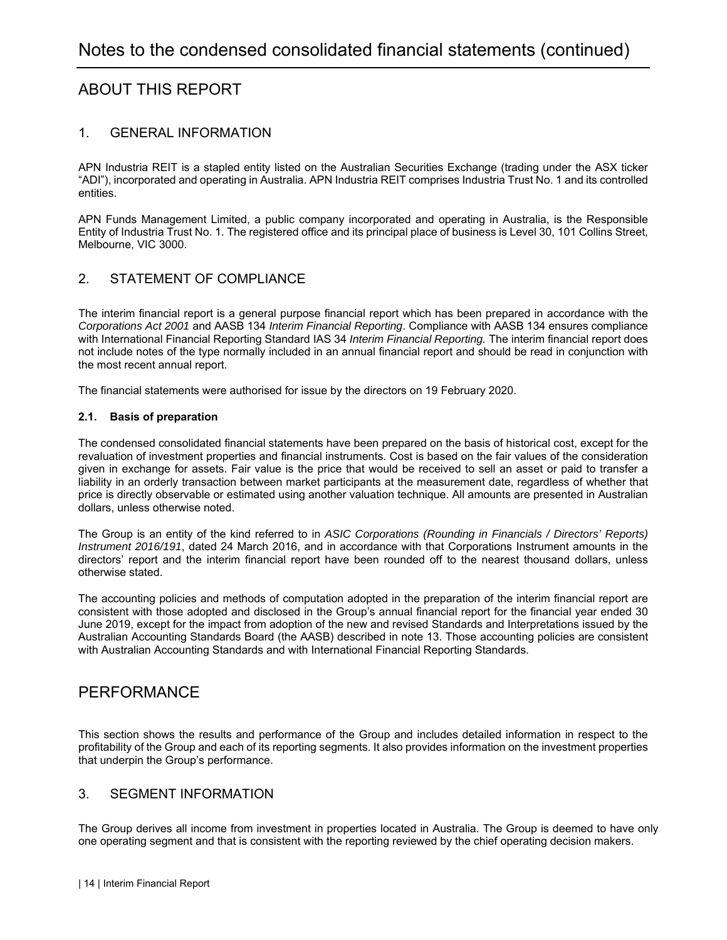# ABOUT THIS REPORT

#### 1. GENERAL INFORMATION

APN Industria REIT is a stapled entity listed on the Australian Securities Exchange (trading under the ASX ticker "ADI"), incorporated and operating in Australia. APN Industria REIT comprises Industria Trust No. 1 and its controlled entities.

APN Funds Management Limited, a public company incorporated and operating in Australia, is the Responsible Entity of Industria Trust No. 1. The registered office and its principal place of business is Level 30, 101 Collins Street, Melbourne, VIC 3000.

#### 2. STATEMENT OF COMPLIANCE

The interim financial report is a general purpose financial report which has been prepared in accordance with the *Corporations Act 2001* and AASB 134 *Interim Financial Reporting*. Compliance with AASB 134 ensures compliance with International Financial Reporting Standard IAS 34 *Interim Financial Reporting.* The interim financial report does not include notes of the type normally included in an annual financial report and should be read in conjunction with the most recent annual report.

The financial statements were authorised for issue by the directors on 19 February 2020.

#### **2.1. Basis of preparation**

The condensed consolidated financial statements have been prepared on the basis of historical cost, except for the revaluation of investment properties and financial instruments. Cost is based on the fair values of the consideration given in exchange for assets. Fair value is the price that would be received to sell an asset or paid to transfer a liability in an orderly transaction between market participants at the measurement date, regardless of whether that price is directly observable or estimated using another valuation technique. All amounts are presented in Australian dollars, unless otherwise noted.

The Group is an entity of the kind referred to in *ASIC Corporations (Rounding in Financials / Directors' Reports) Instrument 2016/191*, dated 24 March 2016, and in accordance with that Corporations Instrument amounts in the directors' report and the interim financial report have been rounded off to the nearest thousand dollars, unless otherwise stated.

The accounting policies and methods of computation adopted in the preparation of the interim financial report are consistent with those adopted and disclosed in the Group's annual financial report for the financial year ended 30 June 2019, except for the impact from adoption of the new and revised Standards and Interpretations issued by the Australian Accounting Standards Board (the AASB) described in note 13. Those accounting policies are consistent with Australian Accounting Standards and with International Financial Reporting Standards.

#### PERFORMANCE

This section shows the results and performance of the Group and includes detailed information in respect to the profitability of the Group and each of its reporting segments. It also provides information on the investment properties that underpin the Group's performance.

#### 3. SEGMENT INFORMATION

The Group derives all income from investment in properties located in Australia. The Group is deemed to have only one operating segment and that is consistent with the reporting reviewed by the chief operating decision makers.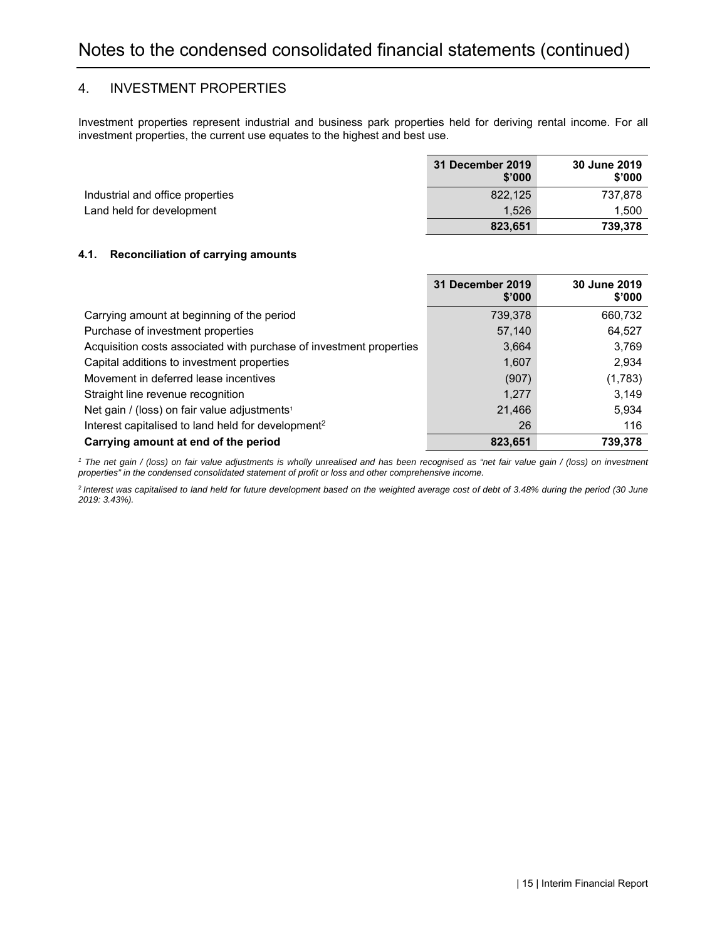#### 4. INVESTMENT PROPERTIES

Investment properties represent industrial and business park properties held for deriving rental income. For all investment properties, the current use equates to the highest and best use.

|                                  | 31 December 2019<br>\$'000 | 30 June 2019<br>\$'000 |
|----------------------------------|----------------------------|------------------------|
| Industrial and office properties | 822.125                    | 737.878                |
| Land held for development        | 1.526                      | 1.500                  |
|                                  | 823,651                    | 739.378                |

#### **4.1. Reconciliation of carrying amounts**

|                                                                     | 31 December 2019<br>\$'000 | 30 June 2019<br>\$'000 |
|---------------------------------------------------------------------|----------------------------|------------------------|
| Carrying amount at beginning of the period                          | 739,378                    | 660,732                |
| Purchase of investment properties                                   | 57,140                     | 64,527                 |
| Acquisition costs associated with purchase of investment properties | 3,664                      | 3,769                  |
| Capital additions to investment properties                          | 1,607                      | 2,934                  |
| Movement in deferred lease incentives                               | (907)                      | (1,783)                |
| Straight line revenue recognition                                   | 1.277                      | 3.149                  |
| Net gain / (loss) on fair value adjustments <sup>1</sup>            | 21,466                     | 5,934                  |
| Interest capitalised to land held for development <sup>2</sup>      | 26                         | 116                    |
| Carrying amount at end of the period                                | 823.651                    | 739.378                |

<sup>1</sup> The net gain / (loss) on fair value adjustments is wholly unrealised and has been recognised as "net fair value gain / (loss) on investment *properties" in the condensed consolidated statement of profit or loss and other comprehensive income.* 

<sup>2</sup>*Interest was capitalised to land held for future development based on the weighted average cost of debt of 3.48% during the period (30 June 2019: 3.43%).*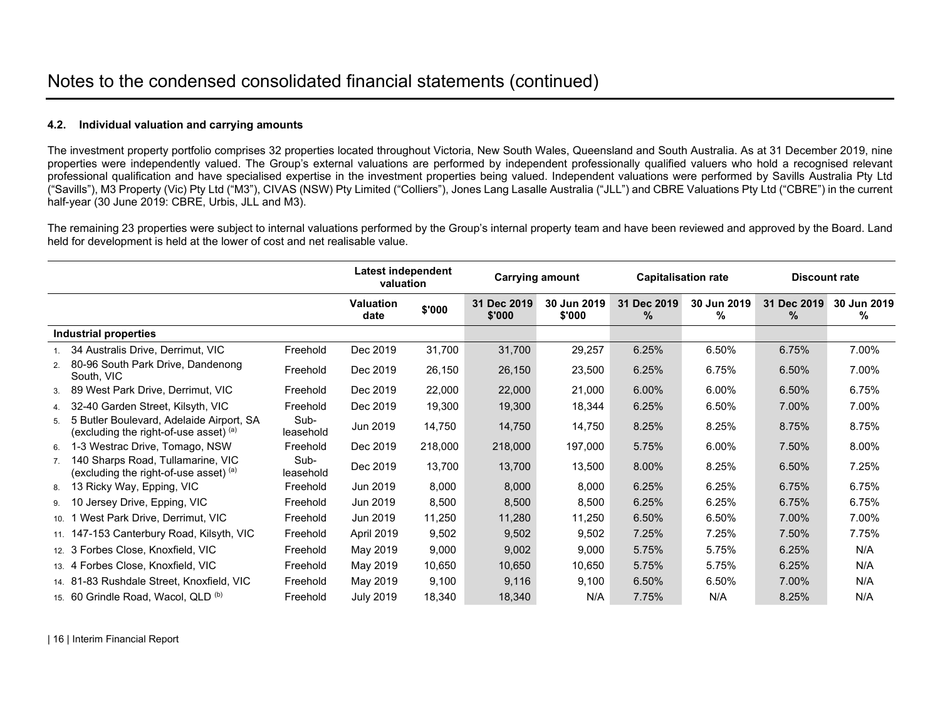#### **4.2. Individual valuation and carrying amounts**

The investment property portfolio comprises 32 properties located throughout Victoria, New South Wales, Queensland and South Australia. As at 31 December 2019, nine properties were independently valued. The Group's external valuations are performed by independent professionally qualified valuers who hold a recognised relevant professional qualification and have specialised expertise in the investment properties being valued. Independent valuations were performed by Savills Australia Pty Ltd ("Savills"), M3 Property (Vic) Pty Ltd ("M3"), CIVAS (NSW) Pty Limited ("Colliers"), Jones Lang Lasalle Australia ("JLL") and CBRE Valuations Pty Ltd ("CBRE") in the current half-year (30 June 2019: CBRE, Urbis, JLL and M3).

The remaining 23 properties were subject to internal valuations performed by the Group's internal property team and have been reviewed and approved by the Board. Land held for development is held at the lower of cost and net realisable value.

|                |                                                                                      |                   |                          | <b>Carrying amount</b><br><b>Capitalisation rate</b> |                       | Latest independent<br>valuation |                  |                  |                  | <b>Discount rate</b> |  |
|----------------|--------------------------------------------------------------------------------------|-------------------|--------------------------|------------------------------------------------------|-----------------------|---------------------------------|------------------|------------------|------------------|----------------------|--|
|                |                                                                                      |                   | <b>Valuation</b><br>date | \$'000                                               | 31 Dec 2019<br>\$'000 | 30 Jun 2019<br>\$'000           | 31 Dec 2019<br>% | 30 Jun 2019<br>% | 31 Dec 2019<br>% | 30 Jun 2019<br>%     |  |
|                | <b>Industrial properties</b>                                                         |                   |                          |                                                      |                       |                                 |                  |                  |                  |                      |  |
|                | 34 Australis Drive, Derrimut, VIC                                                    | Freehold          | Dec 2019                 | 31,700                                               | 31,700                | 29,257                          | 6.25%            | 6.50%            | 6.75%            | 7.00%                |  |
| 2.             | 80-96 South Park Drive, Dandenong<br>South, VIC                                      | Freehold          | Dec 2019                 | 26,150                                               | 26,150                | 23,500                          | 6.25%            | 6.75%            | 6.50%            | 7.00%                |  |
| 3.             | 89 West Park Drive, Derrimut, VIC                                                    | Freehold          | Dec 2019                 | 22,000                                               | 22,000                | 21,000                          | 6.00%            | 6.00%            | 6.50%            | 6.75%                |  |
|                | 4. 32-40 Garden Street, Kilsyth, VIC                                                 | Freehold          | Dec 2019                 | 19,300                                               | 19,300                | 18,344                          | 6.25%            | 6.50%            | 7.00%            | 7.00%                |  |
| 5.             | 5 Butler Boulevard, Adelaide Airport, SA<br>(excluding the right-of-use asset) $(a)$ | Sub-<br>leasehold | Jun 2019                 | 14,750                                               | 14,750                | 14,750                          | 8.25%            | 8.25%            | 8.75%            | 8.75%                |  |
| 6.             | 1-3 Westrac Drive, Tomago, NSW                                                       | Freehold          | Dec 2019                 | 218,000                                              | 218,000               | 197,000                         | 5.75%            | 6.00%            | 7.50%            | 8.00%                |  |
| 7 <sub>1</sub> | 140 Sharps Road, Tullamarine, VIC<br>(excluding the right-of-use asset) $(a)$        | Sub-<br>leasehold | Dec 2019                 | 13,700                                               | 13,700                | 13,500                          | 8.00%            | 8.25%            | 6.50%            | 7.25%                |  |
| 8.             | 13 Ricky Way, Epping, VIC                                                            | Freehold          | Jun 2019                 | 8,000                                                | 8,000                 | 8,000                           | 6.25%            | 6.25%            | 6.75%            | 6.75%                |  |
|                | 9. 10 Jersey Drive, Epping, VIC                                                      | Freehold          | Jun 2019                 | 8,500                                                | 8,500                 | 8,500                           | 6.25%            | 6.25%            | 6.75%            | 6.75%                |  |
|                | 10. 1 West Park Drive, Derrimut, VIC                                                 | Freehold          | Jun 2019                 | 11,250                                               | 11,280                | 11,250                          | 6.50%            | 6.50%            | 7.00%            | 7.00%                |  |
|                | 11. 147-153 Canterbury Road, Kilsyth, VIC                                            | Freehold          | April 2019               | 9,502                                                | 9,502                 | 9,502                           | 7.25%            | 7.25%            | 7.50%            | 7.75%                |  |
|                | 12. 3 Forbes Close, Knoxfield, VIC                                                   | Freehold          | May 2019                 | 9,000                                                | 9,002                 | 9,000                           | 5.75%            | 5.75%            | 6.25%            | N/A                  |  |
|                | 13. 4 Forbes Close, Knoxfield, VIC                                                   | Freehold          | May 2019                 | 10,650                                               | 10,650                | 10,650                          | 5.75%            | 5.75%            | 6.25%            | N/A                  |  |
|                | 14. 81-83 Rushdale Street, Knoxfield, VIC                                            | Freehold          | May 2019                 | 9,100                                                | 9,116                 | 9,100                           | 6.50%            | 6.50%            | 7.00%            | N/A                  |  |
|                | 15. 60 Grindle Road, Wacol, QLD <sup>(b)</sup>                                       | Freehold          | <b>July 2019</b>         | 18,340                                               | 18,340                | N/A                             | 7.75%            | N/A              | 8.25%            | N/A                  |  |

| 16 | Interim Financial Report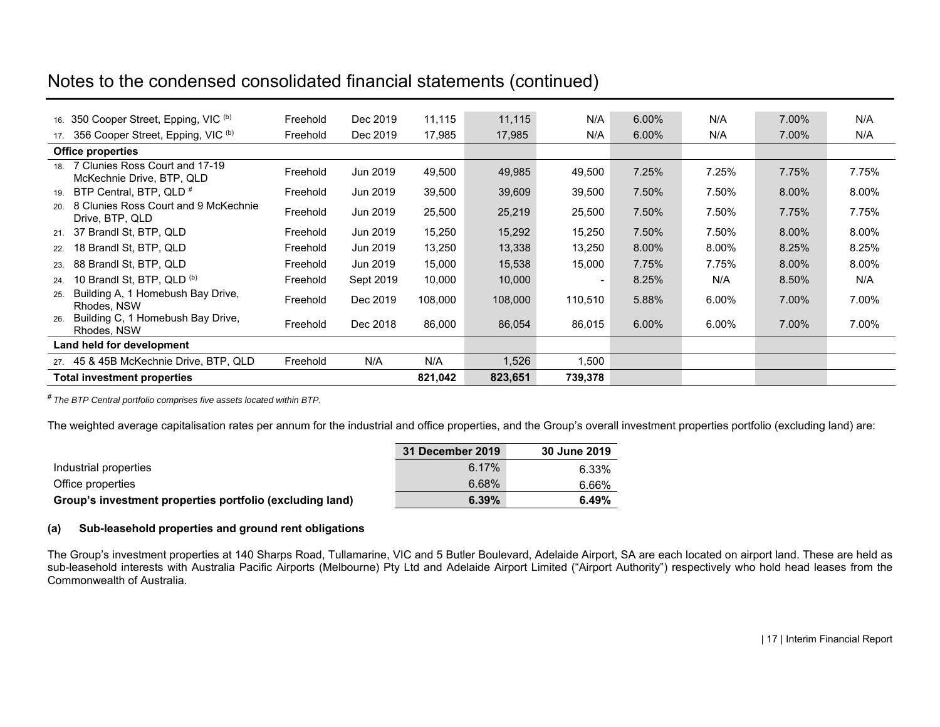# Notes to the condensed consolidated financial statements (continued)

|     | 16. 350 Cooper Street, Epping, VIC (b)                          | Freehold | Dec 2019  | 11,115  | 11,115  | N/A            | $6.00\%$ | N/A   | 7.00% | N/A   |
|-----|-----------------------------------------------------------------|----------|-----------|---------|---------|----------------|----------|-------|-------|-------|
|     | 17. 356 Cooper Street, Epping, VIC (b)                          | Freehold | Dec 2019  | 17,985  | 17,985  | N/A            | $6.00\%$ | N/A   | 7.00% | N/A   |
|     | <b>Office properties</b>                                        |          |           |         |         |                |          |       |       |       |
|     | 18. 7 Clunies Ross Court and 17-19<br>McKechnie Drive, BTP, QLD | Freehold | Jun 2019  | 49,500  | 49,985  | 49,500         | 7.25%    | 7.25% | 7.75% | 7.75% |
| 19. | BTP Central, BTP, QLD <sup>#</sup>                              | Freehold | Jun 2019  | 39,500  | 39,609  | 39,500         | 7.50%    | 7.50% | 8.00% | 8.00% |
|     | 20. 8 Clunies Ross Court and 9 McKechnie<br>Drive, BTP, QLD     | Freehold | Jun 2019  | 25,500  | 25,219  | 25,500         | 7.50%    | 7.50% | 7.75% | 7.75% |
|     | 21. 37 Brandl St, BTP, QLD                                      | Freehold | Jun 2019  | 15,250  | 15,292  | 15,250         | 7.50%    | 7.50% | 8.00% | 8.00% |
| 22. | 18 Brandl St, BTP, QLD                                          | Freehold | Jun 2019  | 13,250  | 13,338  | 13,250         | 8.00%    | 8.00% | 8.25% | 8.25% |
| 23. | 88 Brandl St, BTP, QLD                                          | Freehold | Jun 2019  | 15,000  | 15,538  | 15,000         | 7.75%    | 7.75% | 8.00% | 8.00% |
| 24. | 10 Brandl St, BTP, QLD <sup>(b)</sup>                           | Freehold | Sept 2019 | 10,000  | 10,000  | $\blacksquare$ | 8.25%    | N/A   | 8.50% | N/A   |
| 25. | Building A, 1 Homebush Bay Drive,<br>Rhodes, NSW                | Freehold | Dec 2019  | 108,000 | 108,000 | 110,510        | 5.88%    | 6.00% | 7.00% | 7.00% |
| 26. | Building C, 1 Homebush Bay Drive,<br>Rhodes, NSW                | Freehold | Dec 2018  | 86,000  | 86,054  | 86,015         | 6.00%    | 6.00% | 7.00% | 7.00% |
|     | Land held for development                                       |          |           |         |         |                |          |       |       |       |
|     | 27. 45 & 45B McKechnie Drive, BTP, QLD                          | Freehold | N/A       | N/A     | 1,526   | 1,500          |          |       |       |       |
|     | <b>Total investment properties</b>                              |          |           | 821,042 | 823,651 | 739,378        |          |       |       |       |

# *The BTP Central portfolio comprises five assets located within BTP.* 

The weighted average capitalisation rates per annum for the industrial and office properties, and the Group's overall investment properties portfolio (excluding land) are:

|                                                          | 31 December 2019 | 30 June 2019 |
|----------------------------------------------------------|------------------|--------------|
| Industrial properties                                    | 6.17%            | 6.33%        |
| Office properties                                        | 6.68%            | 6.66%        |
| Group's investment properties portfolio (excluding land) | 6.39%            | 6.49%        |

#### **(a) Sub-leasehold properties and ground rent obligations**

The Group's investment properties at 140 Sharps Road, Tullamarine, VIC and 5 Butler Boulevard, Adelaide Airport, SA are each located on airport land. These are held as sub-leasehold interests with Australia Pacific Airports (Melbourne) Pty Ltd and Adelaide Airport Limited ("Airport Authority") respectively who hold head leases from the Commonwealth of Australia.

| 17 | Interim Financial Report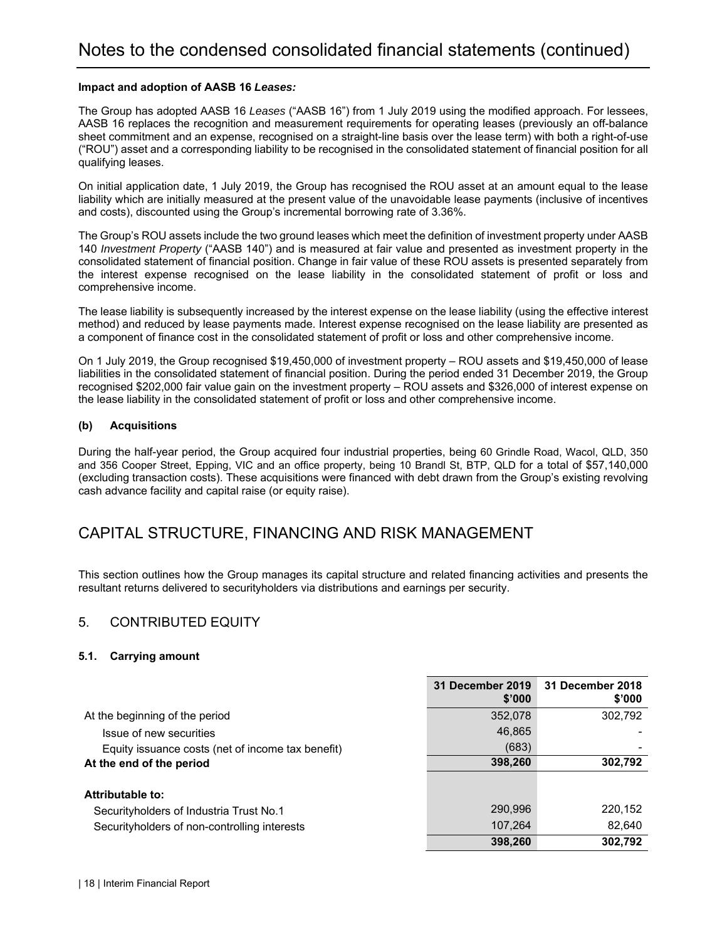#### **Impact and adoption of AASB 16** *Leases:*

The Group has adopted AASB 16 *Leases* ("AASB 16") from 1 July 2019 using the modified approach. For lessees, AASB 16 replaces the recognition and measurement requirements for operating leases (previously an off-balance sheet commitment and an expense, recognised on a straight-line basis over the lease term) with both a right-of-use ("ROU") asset and a corresponding liability to be recognised in the consolidated statement of financial position for all qualifying leases.

On initial application date, 1 July 2019, the Group has recognised the ROU asset at an amount equal to the lease liability which are initially measured at the present value of the unavoidable lease payments (inclusive of incentives and costs), discounted using the Group's incremental borrowing rate of 3.36%.

The Group's ROU assets include the two ground leases which meet the definition of investment property under AASB 140 *Investment Property* ("AASB 140") and is measured at fair value and presented as investment property in the consolidated statement of financial position. Change in fair value of these ROU assets is presented separately from the interest expense recognised on the lease liability in the consolidated statement of profit or loss and comprehensive income.

The lease liability is subsequently increased by the interest expense on the lease liability (using the effective interest method) and reduced by lease payments made. Interest expense recognised on the lease liability are presented as a component of finance cost in the consolidated statement of profit or loss and other comprehensive income.

On 1 July 2019, the Group recognised \$19,450,000 of investment property – ROU assets and \$19,450,000 of lease liabilities in the consolidated statement of financial position. During the period ended 31 December 2019, the Group recognised \$202,000 fair value gain on the investment property – ROU assets and \$326,000 of interest expense on the lease liability in the consolidated statement of profit or loss and other comprehensive income.

#### **(b) Acquisitions**

During the half-year period, the Group acquired four industrial properties, being 60 Grindle Road, Wacol, QLD, 350 and 356 Cooper Street, Epping, VIC and an office property, being 10 Brandl St, BTP, QLD for a total of \$57,140,000 (excluding transaction costs). These acquisitions were financed with debt drawn from the Group's existing revolving cash advance facility and capital raise (or equity raise).

## CAPITAL STRUCTURE, FINANCING AND RISK MANAGEMENT

This section outlines how the Group manages its capital structure and related financing activities and presents the resultant returns delivered to securityholders via distributions and earnings per security.

#### 5. CONTRIBUTED EQUITY

#### **5.1. Carrying amount**

|                                                   | 31 December 2019<br>\$'000 | 31 December 2018<br>\$'000 |
|---------------------------------------------------|----------------------------|----------------------------|
| At the beginning of the period                    | 352,078                    | 302,792                    |
| Issue of new securities                           | 46,865                     |                            |
| Equity issuance costs (net of income tax benefit) | (683)                      |                            |
| At the end of the period                          | 398,260                    | 302,792                    |
|                                                   |                            |                            |
| Attributable to:                                  |                            |                            |
| Security holders of Industria Trust No.1          | 290,996                    | 220,152                    |
| Security holders of non-controlling interests     | 107,264                    | 82,640                     |
|                                                   | 398,260                    | 302.792                    |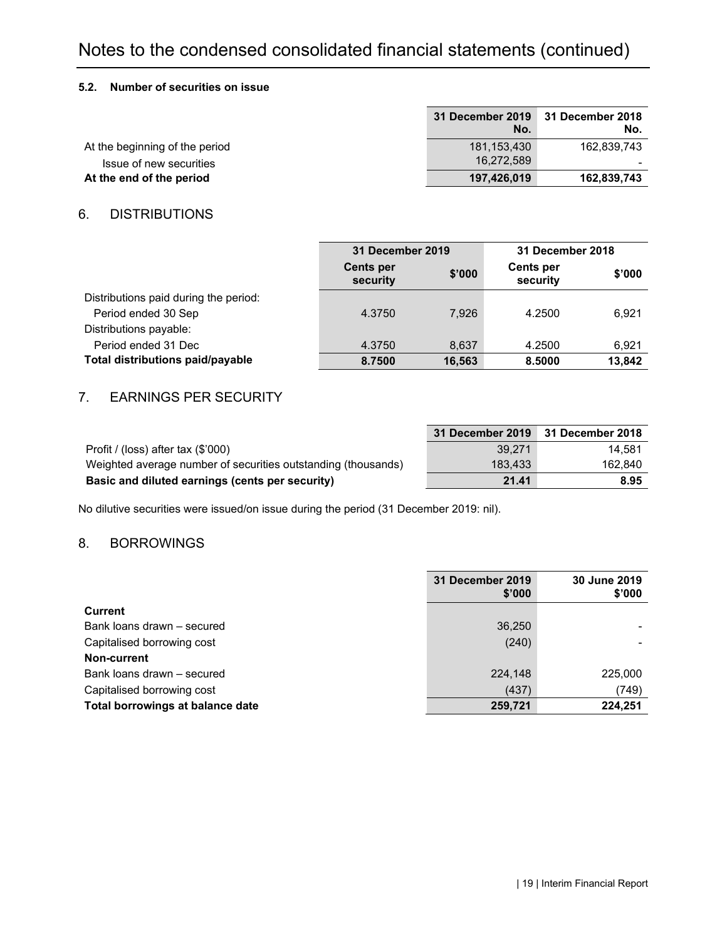# Notes to the condensed consolidated financial statements (continued)

#### **5.2. Number of securities on issue**

|                                | No.         | 31 December 2019 31 December 2018<br>No. |
|--------------------------------|-------------|------------------------------------------|
| At the beginning of the period | 181.153.430 | 162.839.743                              |
| Issue of new securities        | 16.272.589  |                                          |
| At the end of the period       | 197.426.019 | 162,839,743                              |

#### 6. DISTRIBUTIONS

|                                         |                              | 31 December 2019 |                              | 31 December 2018 |
|-----------------------------------------|------------------------------|------------------|------------------------------|------------------|
|                                         | <b>Cents per</b><br>security | \$'000           | <b>Cents per</b><br>security | \$'000           |
| Distributions paid during the period:   |                              |                  |                              |                  |
| Period ended 30 Sep                     | 4.3750                       | 7.926            | 4.2500                       | 6.921            |
| Distributions payable:                  |                              |                  |                              |                  |
| Period ended 31 Dec                     | 4.3750                       | 8.637            | 4.2500                       | 6.921            |
| <b>Total distributions paid/payable</b> | 8.7500                       | 16,563           | 8.5000                       | 13.842           |

#### 7. EARNINGS PER SECURITY

|                                                               | 31 December 2019 31 December 2018 |         |
|---------------------------------------------------------------|-----------------------------------|---------|
| Profit / (loss) after tax $(\$'000)$                          | 39.271                            | 14.581  |
| Weighted average number of securities outstanding (thousands) | 183.433                           | 162.840 |
| Basic and diluted earnings (cents per security)               | 21.41                             | 8.95    |

No dilutive securities were issued/on issue during the period (31 December 2019: nil).

#### 8. BORROWINGS

|                                  | 31 December 2019<br>\$'000 | 30 June 2019<br>\$'000 |
|----------------------------------|----------------------------|------------------------|
| <b>Current</b>                   |                            |                        |
| Bank loans drawn - secured       | 36,250                     |                        |
| Capitalised borrowing cost       | (240)                      |                        |
| Non-current                      |                            |                        |
| Bank loans drawn - secured       | 224,148                    | 225,000                |
| Capitalised borrowing cost       | (437)                      | (749)                  |
| Total borrowings at balance date | 259,721                    | 224,251                |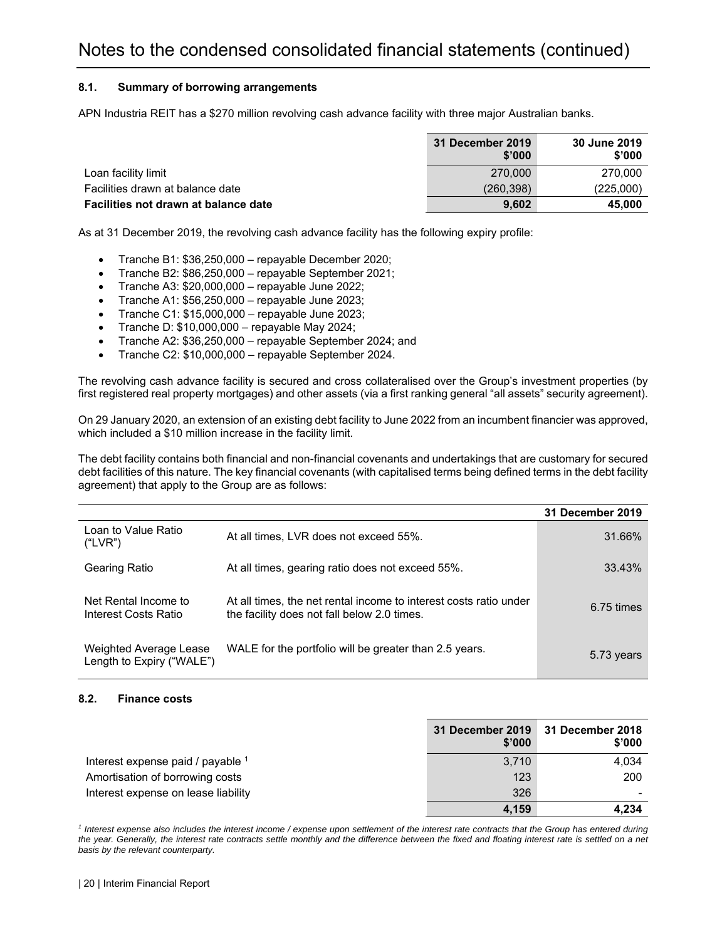#### **8.1. Summary of borrowing arrangements**

APN Industria REIT has a \$270 million revolving cash advance facility with three major Australian banks.

|                                      | 31 December 2019<br>\$'000 | 30 June 2019<br>\$'000 |
|--------------------------------------|----------------------------|------------------------|
| Loan facility limit                  | 270.000                    | 270,000                |
| Facilities drawn at balance date     | (260, 398)                 | (225,000)              |
| Facilities not drawn at balance date | 9.602                      | 45,000                 |

As at 31 December 2019, the revolving cash advance facility has the following expiry profile:

- Tranche B1: \$36,250,000 repayable December 2020;
- Tranche B2: \$86,250,000 repayable September 2021;
- Tranche A3: \$20,000,000 repayable June 2022;
- Tranche A1: \$56,250,000 repayable June 2023;
- Tranche C1: \$15,000,000 repayable June 2023;
- $\bullet$  Tranche D: \$10,000,000 repayable May 2024;
- Tranche A2: \$36,250,000 repayable September 2024; and
- Tranche C2: \$10,000,000 repayable September 2024.

The revolving cash advance facility is secured and cross collateralised over the Group's investment properties (by first registered real property mortgages) and other assets (via a first ranking general "all assets" security agreement).

On 29 January 2020, an extension of an existing debt facility to June 2022 from an incumbent financier was approved, which included a \$10 million increase in the facility limit.

The debt facility contains both financial and non-financial covenants and undertakings that are customary for secured debt facilities of this nature. The key financial covenants (with capitalised terms being defined terms in the debt facility agreement) that apply to the Group are as follows:

|                                                     |                                                                                                                  | 31 December 2019       |
|-----------------------------------------------------|------------------------------------------------------------------------------------------------------------------|------------------------|
| Loan to Value Ratio<br>("LVR")                      | At all times, LVR does not exceed 55%.                                                                           | 31.66%                 |
| Gearing Ratio                                       | At all times, gearing ratio does not exceed 55%.                                                                 | 33.43%                 |
| Net Rental Income to<br>Interest Costs Ratio        | At all times, the net rental income to interest costs ratio under<br>the facility does not fall below 2.0 times. | $6.75 \; \text{times}$ |
| Weighted Average Lease<br>Length to Expiry ("WALE") | WALE for the portfolio will be greater than 2.5 years.                                                           | 5.73 years             |

#### **8.2. Finance costs**

|                                     | \$'000 | 31 December 2019 31 December 2018<br>\$'000 |
|-------------------------------------|--------|---------------------------------------------|
| Interest expense paid / payable 1   | 3.710  | 4,034                                       |
| Amortisation of borrowing costs     | 123    | 200                                         |
| Interest expense on lease liability | 326    |                                             |
|                                     | 4.159  | 4.234                                       |

<sup>1</sup> Interest expense also includes the interest income / expense upon settlement of the interest rate contracts that the Group has entered during the year. Generally, the interest rate contracts settle monthly and the difference between the fixed and floating interest rate is settled on a net *basis by the relevant counterparty.*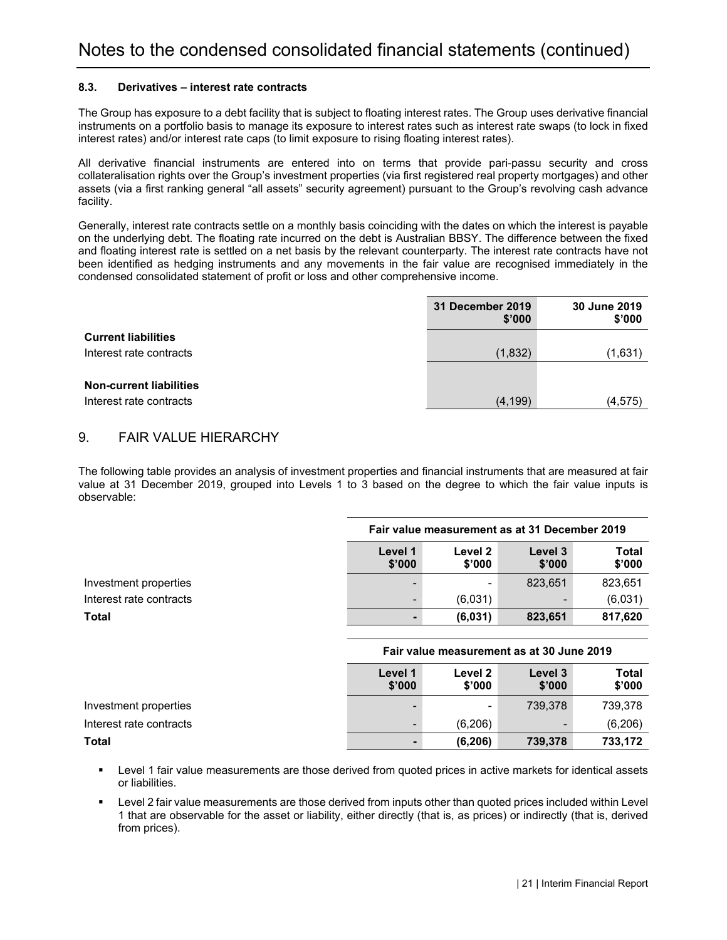#### **8.3. Derivatives – interest rate contracts**

The Group has exposure to a debt facility that is subject to floating interest rates. The Group uses derivative financial instruments on a portfolio basis to manage its exposure to interest rates such as interest rate swaps (to lock in fixed interest rates) and/or interest rate caps (to limit exposure to rising floating interest rates).

All derivative financial instruments are entered into on terms that provide pari-passu security and cross collateralisation rights over the Group's investment properties (via first registered real property mortgages) and other assets (via a first ranking general "all assets" security agreement) pursuant to the Group's revolving cash advance facility.

Generally, interest rate contracts settle on a monthly basis coinciding with the dates on which the interest is payable on the underlying debt. The floating rate incurred on the debt is Australian BBSY. The difference between the fixed and floating interest rate is settled on a net basis by the relevant counterparty. The interest rate contracts have not been identified as hedging instruments and any movements in the fair value are recognised immediately in the condensed consolidated statement of profit or loss and other comprehensive income.

|                                | 31 December 2019<br>\$'000 | 30 June 2019<br>\$'000 |
|--------------------------------|----------------------------|------------------------|
| <b>Current liabilities</b>     |                            |                        |
| Interest rate contracts        | (1,832)                    | (1,631)                |
|                                |                            |                        |
| <b>Non-current liabilities</b> |                            |                        |
| Interest rate contracts        | (4, 199)                   | (4, 575)               |

#### 9. FAIR VALUE HIERARCHY

The following table provides an analysis of investment properties and financial instruments that are measured at fair value at 31 December 2019, grouped into Levels 1 to 3 based on the degree to which the fair value inputs is observable:

|                         | Fair value measurement as at 31 December 2019                                  |         |         |         |
|-------------------------|--------------------------------------------------------------------------------|---------|---------|---------|
|                         | Total<br>Level 1<br>Level 2<br>Level 3<br>\$'000<br>\$'000<br>\$'000<br>\$'000 |         |         |         |
| Investment properties   |                                                                                |         | 823,651 | 823,651 |
| Interest rate contracts | $\overline{\phantom{0}}$                                                       | (6,031) |         | (6,031) |
| Total                   |                                                                                | (6,031) | 823,651 | 817,620 |

|                         | Fair value measurement as at 30 June 2019 |                   |                   |                 |
|-------------------------|-------------------------------------------|-------------------|-------------------|-----------------|
|                         | Level 1<br>\$'000                         | Level 2<br>\$'000 | Level 3<br>\$'000 | Total<br>\$'000 |
| Investment properties   |                                           |                   | 739.378           | 739,378         |
| Interest rate contracts | -                                         | (6,206)           |                   | (6,206)         |
| Total                   | -                                         | (6, 206)          | 739,378           | 733,172         |

- Level 1 fair value measurements are those derived from quoted prices in active markets for identical assets or liabilities.
- Level 2 fair value measurements are those derived from inputs other than quoted prices included within Level 1 that are observable for the asset or liability, either directly (that is, as prices) or indirectly (that is, derived from prices).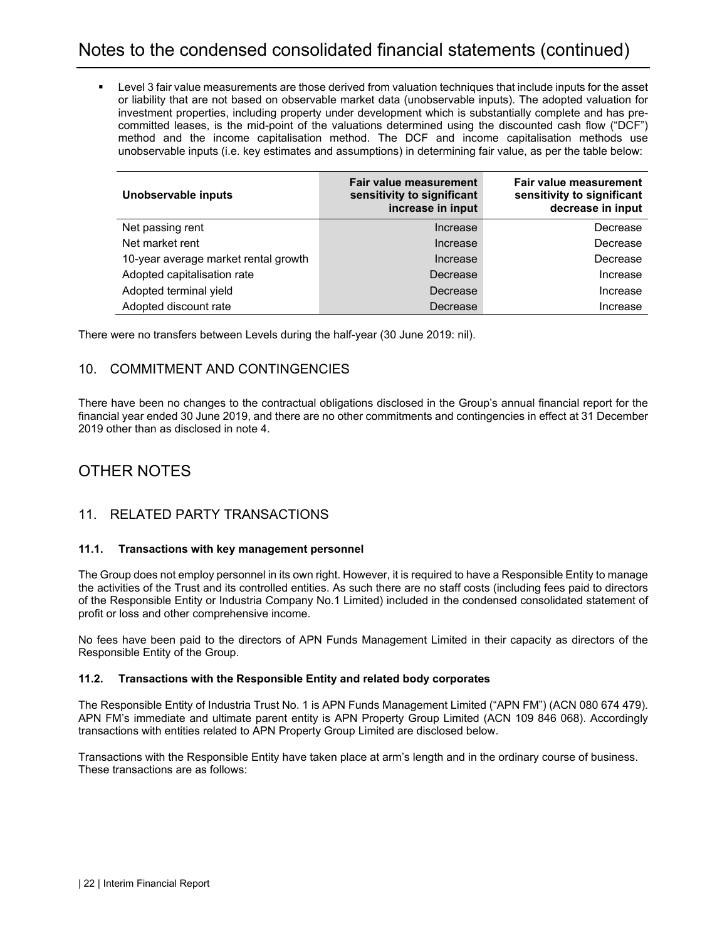Level 3 fair value measurements are those derived from valuation techniques that include inputs for the asset or liability that are not based on observable market data (unobservable inputs). The adopted valuation for investment properties, including property under development which is substantially complete and has precommitted leases, is the mid-point of the valuations determined using the discounted cash flow ("DCF") method and the income capitalisation method. The DCF and income capitalisation methods use unobservable inputs (i.e. key estimates and assumptions) in determining fair value, as per the table below:

| Unobservable inputs                  | Fair value measurement<br>sensitivity to significant<br>increase in input | Fair value measurement<br>sensitivity to significant<br>decrease in input |
|--------------------------------------|---------------------------------------------------------------------------|---------------------------------------------------------------------------|
| Net passing rent                     | Increase                                                                  | Decrease                                                                  |
| Net market rent                      | Increase                                                                  | Decrease                                                                  |
| 10-year average market rental growth | Increase                                                                  | Decrease                                                                  |
| Adopted capitalisation rate          | Decrease                                                                  | Increase                                                                  |
| Adopted terminal yield               | Decrease                                                                  | Increase                                                                  |
| Adopted discount rate                | Decrease                                                                  | Increase                                                                  |

There were no transfers between Levels during the half-year (30 June 2019: nil).

#### 10. COMMITMENT AND CONTINGENCIES

There have been no changes to the contractual obligations disclosed in the Group's annual financial report for the financial year ended 30 June 2019, and there are no other commitments and contingencies in effect at 31 December 2019 other than as disclosed in note 4.

## OTHER NOTES

#### 11. RELATED PARTY TRANSACTIONS

#### **11.1. Transactions with key management personnel**

The Group does not employ personnel in its own right. However, it is required to have a Responsible Entity to manage the activities of the Trust and its controlled entities. As such there are no staff costs (including fees paid to directors of the Responsible Entity or Industria Company No.1 Limited) included in the condensed consolidated statement of profit or loss and other comprehensive income.

No fees have been paid to the directors of APN Funds Management Limited in their capacity as directors of the Responsible Entity of the Group.

#### **11.2. Transactions with the Responsible Entity and related body corporates**

The Responsible Entity of Industria Trust No. 1 is APN Funds Management Limited ("APN FM") (ACN 080 674 479). APN FM's immediate and ultimate parent entity is APN Property Group Limited (ACN 109 846 068). Accordingly transactions with entities related to APN Property Group Limited are disclosed below.

Transactions with the Responsible Entity have taken place at arm's length and in the ordinary course of business. These transactions are as follows: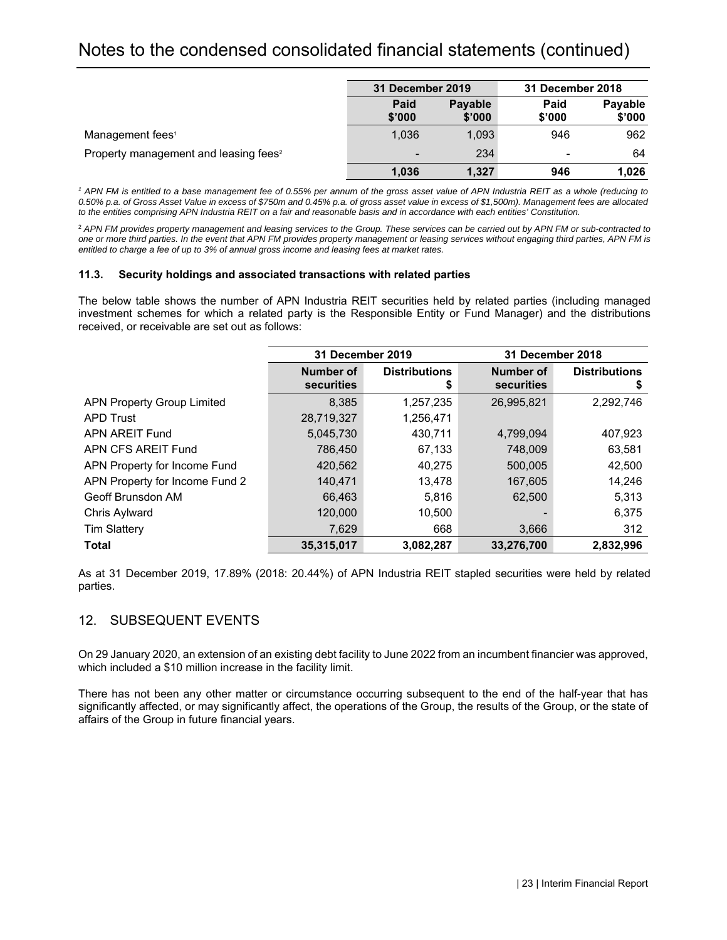# Notes to the condensed consolidated financial statements (continued)

|                                                   | 31 December 2019         |                          | 31 December 2018 |                   |
|---------------------------------------------------|--------------------------|--------------------------|------------------|-------------------|
|                                                   | Paid<br>\$'000           | <b>Payable</b><br>\$'000 | Paid<br>\$'000   | Payable<br>\$'000 |
| Management fees <sup>1</sup>                      | 1.036                    | 1.093                    | 946              | 962               |
| Property management and leasing fees <sup>2</sup> | $\overline{\phantom{a}}$ | 234                      | ۰                | 64                |
|                                                   | 1,036                    | 1,327                    | 946              | 1,026             |

<sup>1</sup> APN FM is entitled to a base management fee of 0.55% per annum of the gross asset value of APN Industria REIT as a whole (reducing to *0.50% p.a. of Gross Asset Value in excess of \$750m and 0.45% p.a. of gross asset value in excess of \$1,500m). Management fees are allocated to the entities comprising APN Industria REIT on a fair and reasonable basis and in accordance with each entities' Constitution.* 

<sup>2</sup> *APN FM provides property management and leasing services to the Group. These services can be carried out by APN FM or sub-contracted to one or more third parties. In the event that APN FM provides property management or leasing services without engaging third parties, APN FM is entitled to charge a fee of up to 3% of annual gross income and leasing fees at market rates.* 

#### **11.3. Security holdings and associated transactions with related parties**

The below table shows the number of APN Industria REIT securities held by related parties (including managed investment schemes for which a related party is the Responsible Entity or Fund Manager) and the distributions received, or receivable are set out as follows:

|                                   | 31 December 2019        |                            | 31 December 2018        |                           |  |
|-----------------------------------|-------------------------|----------------------------|-------------------------|---------------------------|--|
|                                   | Number of<br>securities | <b>Distributions</b><br>\$ | Number of<br>securities | <b>Distributions</b><br>5 |  |
| <b>APN Property Group Limited</b> | 8,385                   | 1,257,235                  | 26,995,821              | 2,292,746                 |  |
| APD Trust                         | 28,719,327              | 1,256,471                  |                         |                           |  |
| APN AREIT Fund                    | 5,045,730               | 430.711                    | 4.799.094               | 407,923                   |  |
| APN CFS AREIT Fund                | 786,450                 | 67,133                     | 748,009                 | 63,581                    |  |
| APN Property for Income Fund      | 420,562                 | 40,275                     | 500,005                 | 42,500                    |  |
| APN Property for Income Fund 2    | 140,471                 | 13,478                     | 167,605                 | 14,246                    |  |
| Geoff Brunsdon AM                 | 66,463                  | 5,816                      | 62,500                  | 5,313                     |  |
| Chris Aylward                     | 120,000                 | 10.500                     |                         | 6,375                     |  |
| <b>Tim Slattery</b>               | 7,629                   | 668                        | 3,666                   | 312                       |  |
| Total                             | 35,315,017              | 3,082,287                  | 33,276,700              | 2,832,996                 |  |

As at 31 December 2019, 17.89% (2018: 20.44%) of APN Industria REIT stapled securities were held by related parties.

#### 12. SUBSEQUENT EVENTS

On 29 January 2020, an extension of an existing debt facility to June 2022 from an incumbent financier was approved, which included a \$10 million increase in the facility limit.

There has not been any other matter or circumstance occurring subsequent to the end of the half-year that has significantly affected, or may significantly affect, the operations of the Group, the results of the Group, or the state of affairs of the Group in future financial years.